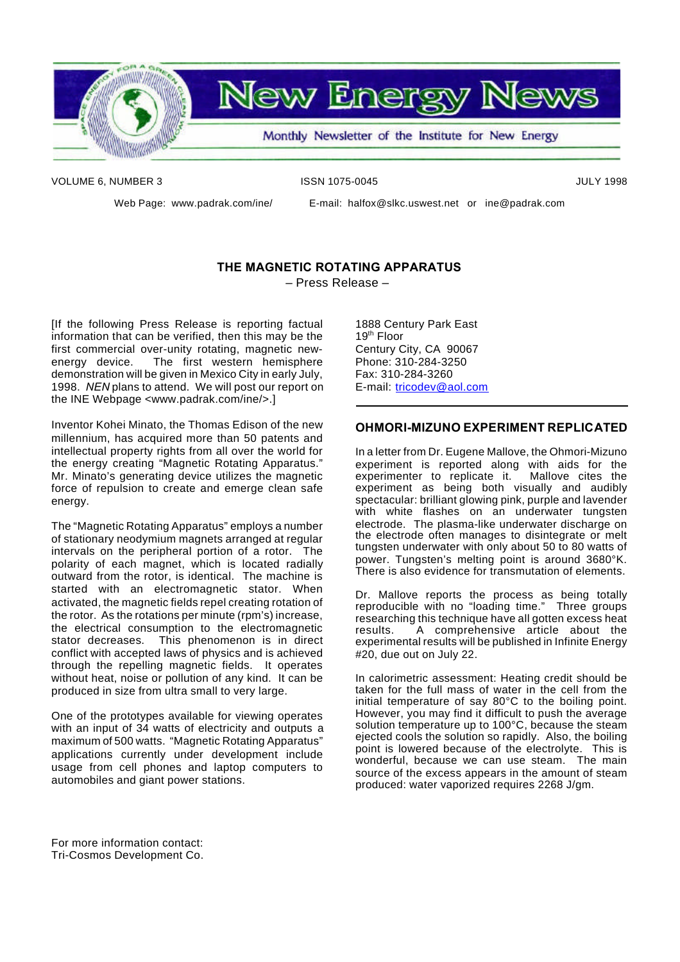

**New Energy News** 

Monthly Newsletter of the Institute for New Energy

VOLUME 6, NUMBER 3 ISSN 1075-0045 ISSN 1075-0045

Web Page: www.padrak.com/ine/ E-mail: halfox@slkc.uswest.net or ine@padrak.com

#### **THE MAGNETIC ROTATING APPARATUS** – Press Release –

[If the following Press Release is reporting factual information that can be verified, then this may be the first commercial over-unity rotating, magnetic newenergy device. The first western hemisphere demonstration will be given in Mexico City in early July, 1998. *NEN* plans to attend. We will post our report on the INE Webpage <www.padrak.com/ine/>.]

Inventor Kohei Minato, the Thomas Edison of the new millennium, has acquired more than 50 patents and intellectual property rights from all over the world for the energy creating "Magnetic Rotating Apparatus." Mr. Minato's generating device utilizes the magnetic force of repulsion to create and emerge clean safe energy.

The "Magnetic Rotating Apparatus" employs a number of stationary neodymium magnets arranged at regular intervals on the peripheral portion of a rotor. The polarity of each magnet, which is located radially outward from the rotor, is identical. The machine is started with an electromagnetic stator. When activated, the magnetic fields repel creating rotation of the rotor. As the rotations per minute (rpm's) increase, the electrical consumption to the electromagnetic stator decreases. This phenomenon is in direct conflict with accepted laws of physics and is achieved through the repelling magnetic fields. It operates without heat, noise or pollution of any kind. It can be produced in size from ultra small to very large.

One of the prototypes available for viewing operates with an input of 34 watts of electricity and outputs a maximum of 500 watts. "Magnetic Rotating Apparatus" applications currently under development include usage from cell phones and laptop computers to automobiles and giant power stations.

1888 Century Park East  $19<sup>th</sup>$  Floor Century City, CA 90067 Phone: 310-284-3250 Fax: 310-284-3260 E-mail: tricodev@aol.com

#### **OHMORI-MIZUNO EXPERIMENT REPLICATED**

In a letter from Dr. Eugene Mallove, the Ohmori-Mizuno experiment is reported along with aids for the<br>experimenter to replicate it. Mallove cites the experimenter to replicate it. experiment as being both visually and audibly spectacular: brilliant glowing pink, purple and lavender with white flashes on an underwater tungsten electrode. The plasma-like underwater discharge on the electrode often manages to disintegrate or melt tungsten underwater with only about 50 to 80 watts of power. Tungsten's melting point is around 3680°K. There is also evidence for transmutation of elements.

Dr. Mallove reports the process as being totally reproducible with no "loading time." Three groups researching this technique have all gotten excess heat results. A comprehensive article about the experimental results will be published in Infinite Energy #20, due out on July 22.

In calorimetric assessment: Heating credit should be taken for the full mass of water in the cell from the initial temperature of say 80°C to the boiling point. However, you may find it difficult to push the average solution temperature up to 100°C, because the steam ejected cools the solution so rapidly. Also, the boiling point is lowered because of the electrolyte. This is wonderful, because we can use steam. The main source of the excess appears in the amount of steam produced: water vaporized requires 2268 J/gm.

For more information contact: Tri-Cosmos Development Co.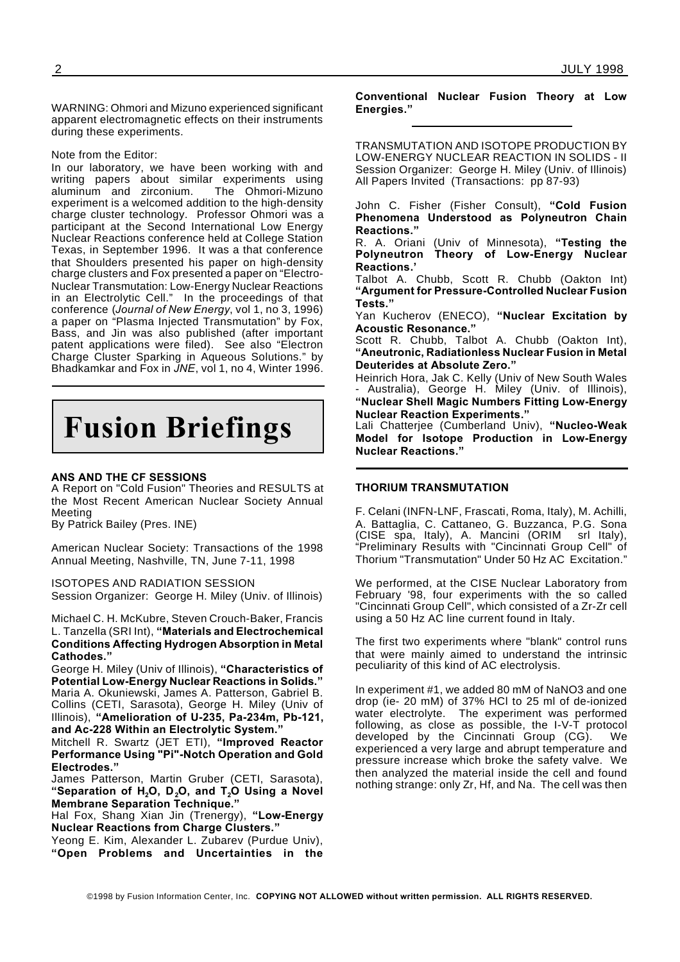WARNING: Ohmori and Mizuno experienced significant apparent electromagnetic effects on their instruments during these experiments.

Note from the Editor:

In our laboratory, we have been working with and writing papers about similar experiments using aluminum and zirconium. The Ohmori-Mizuno experiment is a welcomed addition to the high-density charge cluster technology. Professor Ohmori was a participant at the Second International Low Energy Nuclear Reactions conference held at College Station Texas, in September 1996. It was a that conference that Shoulders presented his paper on high-density charge clusters and Fox presented a paper on "Electro-Nuclear Transmutation: Low-Energy Nuclear Reactions in an Electrolytic Cell." In the proceedings of that conference (*Journal of New Energy*, vol 1, no 3, 1996) a paper on "Plasma Injected Transmutation" by Fox, Bass, and Jin was also published (after important patent applications were filed). See also "Electron Charge Cluster Sparking in Aqueous Solutions." by Bhadkamkar and Fox in *JNE*, vol 1, no 4, Winter 1996.

## **Fusion Briefings**

#### **ANS AND THE CF SESSIONS**

A Report on "Cold Fusion" Theories and RESULTS at the Most Recent American Nuclear Society Annual Meeting

By Patrick Bailey (Pres. INE)

American Nuclear Society: Transactions of the 1998 Annual Meeting, Nashville, TN, June 7-11, 1998

ISOTOPES AND RADIATION SESSION Session Organizer: George H. Miley (Univ. of Illinois)

Michael C. H. McKubre, Steven Crouch-Baker, Francis L. Tanzella (SRI Int), **"Materials and Electrochemical Conditions Affecting Hydrogen Absorption in Metal Cathodes."**

George H. Miley (Univ of Illinois), **"Characteristics of Potential Low-Energy Nuclear Reactions in Solids."** Maria A. Okuniewski, James A. Patterson, Gabriel B. Collins (CETI, Sarasota), George H. Miley (Univ of Illinois), **"Amelioration of U-235, Pa-234m, Pb-121,**

**and Ac-228 Within an Electrolytic System."**

Mitchell R. Swartz (JET ETI), **"Improved Reactor Performance Using "Pi"-Notch Operation and Gold Electrodes."**

James Patterson, Martin Gruber (CETI, Sarasota), **"Separation of H2O, D2O, and T2O Using a Novel Membrane Separation Technique."**

Hal Fox, Shang Xian Jin (Trenergy), **"Low-Energy Nuclear Reactions from Charge Clusters."**

Yeong E. Kim, Alexander L. Zubarev (Purdue Univ), **"Open Problems and Uncertainties in the**

#### **Conventional Nuclear Fusion Theory at Low Energies."**

TRANSMUTATION AND ISOTOPE PRODUCTION BY LOW-ENERGY NUCLEAR REACTION IN SOLIDS - II Session Organizer: George H. Miley (Univ. of Illinois) All Papers Invited (Transactions: pp 87-93)

John C. Fisher (Fisher Consult), **"Cold Fusion Phenomena Understood as Polyneutron Chain Reactions."**

R. A. Oriani (Univ of Minnesota), **"Testing the Polyneutron Theory of Low-Energy Nuclear Reactions.'**

Talbot A. Chubb, Scott R. Chubb (Oakton Int) **"Argument for Pressure-Controlled Nuclear Fusion Tests."**

Yan Kucherov (ENECO), **"Nuclear Excitation by Acoustic Resonance."**

Scott R. Chubb, Talbot A. Chubb (Oakton Int), **"Aneutronic, Radiationless Nuclear Fusion in Metal Deuterides at Absolute Zero."**

Heinrich Hora, Jak C. Kelly (Univ of New South Wales Australia), George H. Miley (Univ. of Illinois), **"Nuclear Shell Magic Numbers Fitting Low-Energy Nuclear Reaction Experiments."**

Lali Chatterjee (Cumberland Univ), **"Nucleo-Weak Model for Isotope Production in Low-Energy Nuclear Reactions."**

#### **THORIUM TRANSMUTATION**

F. Celani (INFN-LNF, Frascati, Roma, Italy), M. Achilli, A. Battaglia, C. Cattaneo, G. Buzzanca, P.G. Sona (CISE spa, Italy), A. Mancini (ORIM srl Italy), "Preliminary Results with "Cincinnati Group Cell" of Thorium "Transmutation" Under 50 Hz AC Excitation."

We performed, at the CISE Nuclear Laboratory from February '98, four experiments with the so called "Cincinnati Group Cell", which consisted of a Zr-Zr cell using a 50 Hz AC line current found in Italy.

The first two experiments where "blank" control runs that were mainly aimed to understand the intrinsic peculiarity of this kind of AC electrolysis.

In experiment #1, we added 80 mM of NaNO3 and one drop (ie- 20 mM) of 37% HCl to 25 ml of de-ionized water electrolyte. The experiment was performed following, as close as possible, the I-V-T protocol developed by the Cincinnati Group (CG). We experienced a very large and abrupt temperature and pressure increase which broke the safety valve. We then analyzed the material inside the cell and found nothing strange: only Zr, Hf, and Na. The cell was then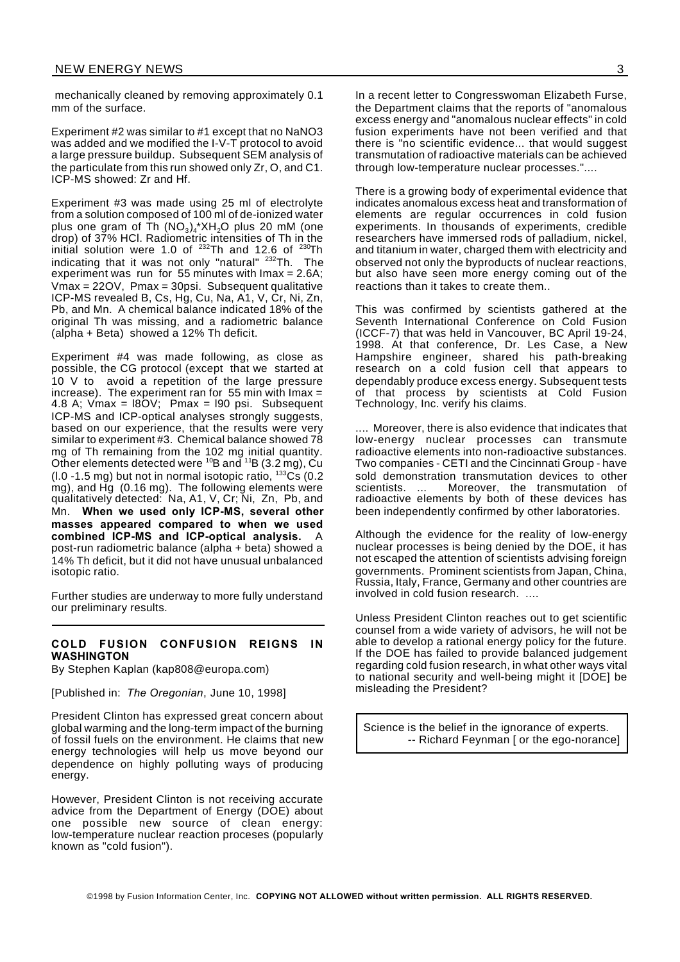mechanically cleaned by removing approximately 0.1 mm of the surface.

Experiment #2 was similar to #1 except that no NaNO3 was added and we modified the I-V-T protocol to avoid a large pressure buildup. Subsequent SEM analysis of the particulate from this run showed only Zr, O, and C1. ICP-MS showed: Zr and Hf.

Experiment #3 was made using 25 ml of electrolyte from a solution composed of 100 ml of de-ionized water plus one gram of Th  $\mathsf{(NO_3)_4}^\ast\mathsf{XH_2O}$  plus 20 mM (one drop) of 37% HCl. Radiometric intensities of Th in the initial solution were 1.0 of  $^{232}$ Th and 12.6 of  $^{230}$ Th indicating that it was not only "natural" <sup>232</sup>Th. The experiment was run for 55 minutes with Imax = 2.6A; Vmax = 22OV, Pmax = 30psi. Subsequent qualitative ICP-MS revealed B, Cs, Hg, Cu, Na, A1, V, Cr, Ni, Zn, Pb, and Mn. A chemical balance indicated 18% of the original Th was missing, and a radiometric balance (alpha + Beta) showed a 12% Th deficit.

Experiment #4 was made following, as close as possible, the CG protocol (except that we started at 10 V to avoid a repetition of the large pressure increase). The experiment ran for 55 min with Imax  $=$ 4.8 A; Vmax = l8OV; Pmax = l90 psi. Subsequent ICP-MS and ICP-optical analyses strongly suggests, based on our experience, that the results were very similar to experiment #3. Chemical balance showed 78 mg of Th remaining from the 102 mg initial quantity. Other elements detected were  $^{10}$ B and  $^{11}$ B (3.2 mg), Cu (l.0 -1.5 mg) but not in normal isotopic ratio,  $133\text{Cs}$  (0.2) mg), and Hg (0.16 mg). The following elements were qualitatively detected: Na, A1, V, Cr; Ni, Zn, Pb, and Mn. **When we used only ICP-MS, several other masses appeared compared to when we used combined ICP-MS and ICP-optical analysis.** A post-run radiometric balance (alpha + beta) showed a 14% Th deficit, but it did not have unusual unbalanced isotopic ratio.

Further studies are underway to more fully understand our preliminary results.

#### **COLD FUSION CONFUSION REIGNS IN WASHINGTON**

By Stephen Kaplan (kap808@europa.com)

[Published in: *The Oregonian*, June 10, 1998]

President Clinton has expressed great concern about global warming and the long-term impact of the burning of fossil fuels on the environment. He claims that new energy technologies will help us move beyond our dependence on highly polluting ways of producing energy.

However, President Clinton is not receiving accurate advice from the Department of Energy (DOE) about one possible new source of clean energy: low-temperature nuclear reaction proceses (popularly known as "cold fusion").

In a recent letter to Congresswoman Elizabeth Furse, the Department claims that the reports of "anomalous excess energy and "anomalous nuclear effects" in cold fusion experiments have not been verified and that there is "no scientific evidence... that would suggest transmutation of radioactive materials can be achieved through low-temperature nuclear processes."....

There is a growing body of experimental evidence that indicates anomalous excess heat and transformation of elements are regular occurrences in cold fusion experiments. In thousands of experiments, credible researchers have immersed rods of palladium, nickel, and titanium in water, charged them with electricity and observed not only the byproducts of nuclear reactions, but also have seen more energy coming out of the reactions than it takes to create them..

This was confirmed by scientists gathered at the Seventh International Conference on Cold Fusion (ICCF-7) that was held in Vancouver, BC April 19-24, 1998. At that conference, Dr. Les Case, a New Hampshire engineer, shared his path-breaking research on a cold fusion cell that appears to dependably produce excess energy. Subsequent tests of that process by scientists at Cold Fusion Technology, Inc. verify his claims.

.... Moreover, there is also evidence that indicates that low-energy nuclear processes can transmute radioactive elements into non-radioactive substances. Two companies - CETI and the Cincinnati Group - have sold demonstration transmutation devices to other scientists. ... Moreover, the transmutation of radioactive elements by both of these devices has been independently confirmed by other laboratories.

Although the evidence for the reality of low-energy nuclear processes is being denied by the DOE, it has not escaped the attention of scientists advising foreign governments. Prominent scientists from Japan, China, Russia, Italy, France, Germany and other countries are involved in cold fusion research. ....

Unless President Clinton reaches out to get scientific counsel from a wide variety of advisors, he will not be able to develop a rational energy policy for the future. If the DOE has failed to provide balanced judgement regarding cold fusion research, in what other ways vital to national security and well-being might it [DOE] be misleading the President?

Science is the belief in the ignorance of experts. -- Richard Feynman [ or the ego-norance]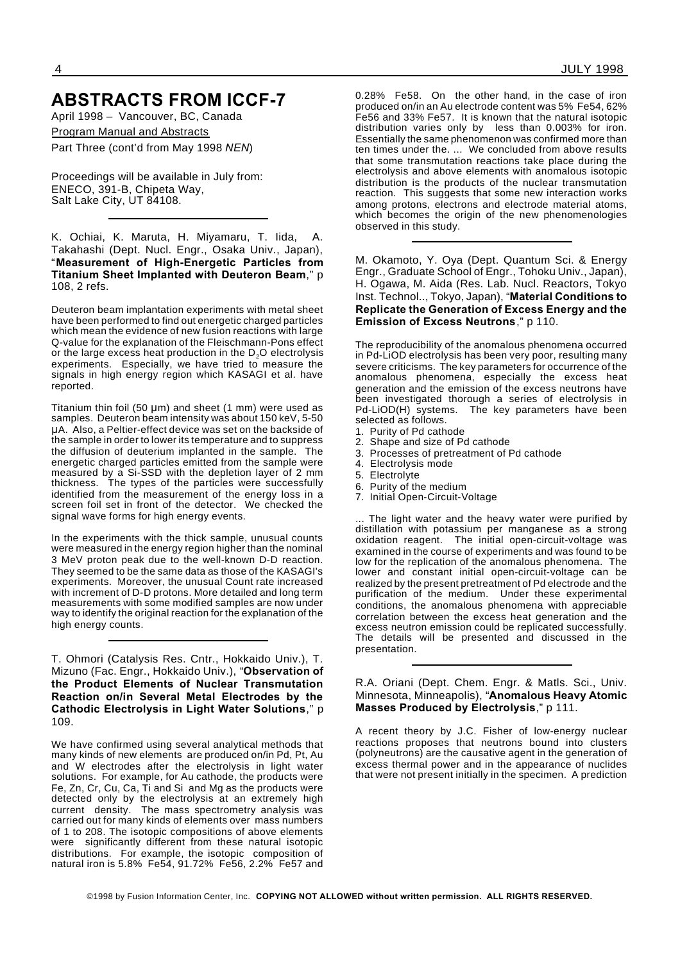### **ABSTRACTS FROM ICCF-7**

April 1998 – Vancouver, BC, Canada

Program Manual and Abstracts

Part Three (cont'd from May 1998 *NEN*)

Proceedings will be available in July from: ENECO, 391-B, Chipeta Way, Salt Lake City, UT 84108.

K. Ochiai, K. Maruta, H. Miyamaru, T. Iida, A. Takahashi (Dept. Nucl. Engr., Osaka Univ., Japan), "**Measurement of High-Energetic Particles from Titanium Sheet Implanted with Deuteron Beam**," p 108, 2 refs.

Deuteron beam implantation experiments with metal sheet have been performed to find out energetic charged particles which mean the evidence of new fusion reactions with large Q-value for the explanation of the Fleischmann-Pons effect or the large excess heat production in the  $D_2O$  electrolysis experiments. Especially, we have tried to measure the signals in high energy region which KASAGI et al. have reported.

Titanium thin foil (50  $\mu$ m) and sheet (1 mm) were used as samples. Deuteron beam intensity was about 150 keV, 5-50 A. Also, a Peltier-effect device was set on the backside of the sample in order to lower its temperature and to suppress the diffusion of deuterium implanted in the sample. The energetic charged particles emitted from the sample were measured by a Si-SSD with the depletion layer of 2 mm thickness. The types of the particles were successfully identified from the measurement of the energy loss in a screen foil set in front of the detector. We checked the signal wave forms for high energy events.

In the experiments with the thick sample, unusual counts were measured in the energy region higher than the nominal 3 MeV proton peak due to the well-known D-D reaction. They seemed to be the same data as those of the KASAGI's experiments. Moreover, the unusual Count rate increased with increment of D-D protons. More detailed and long term measurements with some modified samples are now under way to identify the original reaction for the explanation of the high energy counts.

T. Ohmori (Catalysis Res. Cntr., Hokkaido Univ.), T. Mizuno (Fac. Engr., Hokkaido Univ.), "**Observation of the Product Elements of Nuclear Transmutation Reaction on/in Several Metal Electrodes by the Cathodic Electrolysis in Light Water Solutions**," p 109.

We have confirmed using several analytical methods that many kinds of new elements are produced on/in Pd, Pt, Au and W electrodes after the electrolysis in light water solutions. For example, for Au cathode, the products were Fe, Zn, Cr, Cu, Ca, Ti and Si and Mg as the products were detected only by the electrolysis at an extremely high current density. The mass spectrometry analysis was carried out for many kinds of elements over mass numbers of 1 to 208. The isotopic compositions of above elements were significantly different from these natural isotopic distributions. For example, the isotopic composition of natural iron is 5.8% Fe54, 91.72% Fe56, 2.2% Fe57 and

0.28% Fe58. On the other hand, in the case of iron produced on/in an Au electrode content was 5% Fe54, 62% Fe56 and 33% Fe57. It is known that the natural isotopic distribution varies only by less than 0.003% for iron. Essentially the same phenomenon was confirmed more than ten times under the. ... We concluded from above results that some transmutation reactions take place during the electrolysis and above elements with anomalous isotopic distribution is the products of the nuclear transmutation reaction. This suggests that some new interaction works among protons, electrons and electrode material atoms, which becomes the origin of the new phenomenologies observed in this study.

M. Okamoto, Y. Oya (Dept. Quantum Sci. & Energy Engr., Graduate School of Engr., Tohoku Univ., Japan), H. Ogawa, M. Aida (Res. Lab. Nucl. Reactors, Tokyo Inst. Technol.., Tokyo, Japan), "**Material Conditions to Replicate the Generation of Excess Energy and the Emission of Excess Neutrons**," p 110.

The reproducibility of the anomalous phenomena occurred in Pd-LiOD electrolysis has been very poor, resulting many severe criticisms. The key parameters for occurrence of the anomalous phenomena, especially the excess heat generation and the emission of the excess neutrons have been investigated thorough a series of electrolysis in Pd-LiOD(H) systems. The key parameters have been selected as follows.

- 1. Purity of Pd cathode
- 2. Shape and size of Pd cathode
- 3. Processes of pretreatment of Pd cathode
- 4. Electrolysis mode
- 5. Electrolyte
- 6. Purity of the medium
- 7. Initial Open-Circuit-Voltage

The light water and the heavy water were purified by distillation with potassium per manganese as a strong oxidation reagent. The initial open-circuit-voltage was examined in the course of experiments and was found to be low for the replication of the anomalous phenomena. The lower and constant initial open-circuit-voltage can be realized by the present pretreatment of Pd electrode and the purification of the medium. Under these experimental conditions, the anomalous phenomena with appreciable correlation between the excess heat generation and the excess neutron emission could be replicated successfully. The details will be presented and discussed in the presentation.

R.A. Oriani (Dept. Chem. Engr. & Matls. Sci., Univ. Minnesota, Minneapolis), "**Anomalous Heavy Atomic Masses Produced by Electrolysis**," p 111.

A recent theory by J.C. Fisher of low-energy nuclear reactions proposes that neutrons bound into clusters (polyneutrons) are the causative agent in the generation of excess thermal power and in the appearance of nuclides that were not present initially in the specimen. A prediction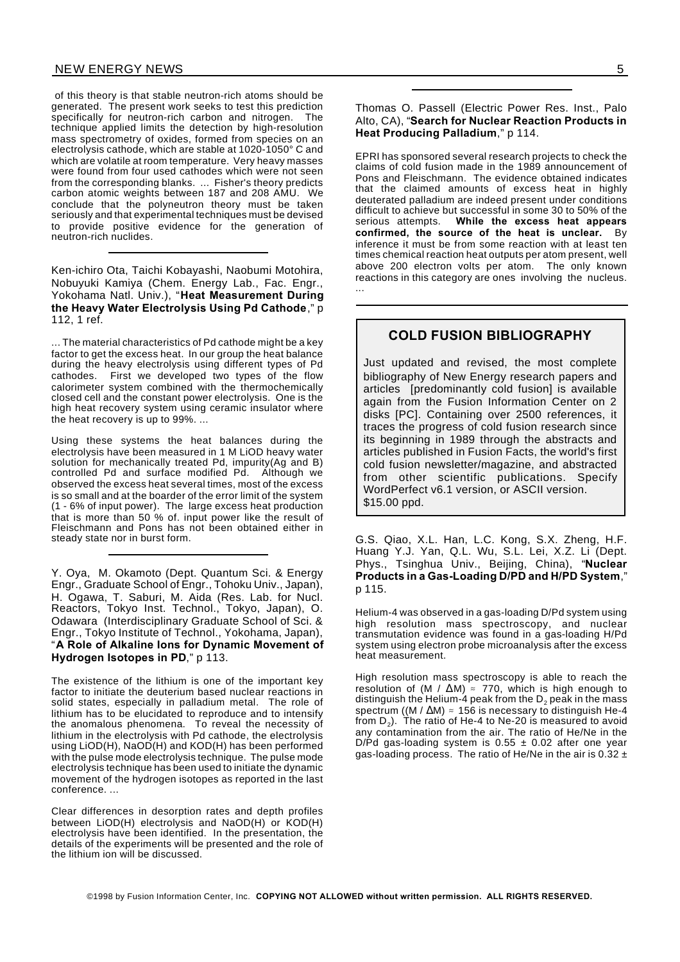#### NEW ENERGY NEWS 5

of this theory is that stable neutron-rich atoms should be generated. The present work seeks to test this prediction specifically for neutron-rich carbon and nitrogen. The technique applied limits the detection by high-resolution mass spectrometry of oxides, formed from species on an electrolysis cathode, which are stable at 1020-1050° C and which are volatile at room temperature. Very heavy masses were found from four used cathodes which were not seen from the corresponding blanks. ... Fisher's theory predicts carbon atomic weights between 187 and 208 AMU. We conclude that the polyneutron theory must be taken seriously and that experimental techniques must be devised to provide positive evidence for the generation of neutron-rich nuclides.

Ken-ichiro Ota, Taichi Kobayashi, Naobumi Motohira, Nobuyuki Kamiya (Chem. Energy Lab., Fac. Engr., Yokohama Natl. Univ.), "**Heat Measurement During the Heavy Water Electrolysis Using Pd Cathode**," p 112, 1 ref.

... The material characteristics of Pd cathode might be a key factor to get the excess heat. In our group the heat balance during the heavy electrolysis using different types of Pd cathodes. First we developed two types of the flow calorimeter system combined with the thermochemically closed cell and the constant power electrolysis. One is the high heat recovery system using ceramic insulator where the heat recovery is up to 99%. ...

Using these systems the heat balances during the electrolysis have been measured in 1 M LiOD heavy water solution for mechanically treated Pd, impurity(Ag and B) controlled Pd and surface modified Pd. Although we observed the excess heat several times, most of the excess is so small and at the boarder of the error limit of the system (1 - 6% of input power). The large excess heat production that is more than 50 % of. input power like the result of Fleischmann and Pons has not been obtained either in steady state nor in burst form.

Y. Oya, M. Okamoto (Dept. Quantum Sci. & Energy Engr., Graduate School of Engr., Tohoku Univ., Japan), H. Ogawa, T. Saburi, M. Aida (Res. Lab. for Nucl. Reactors, Tokyo Inst. Technol., Tokyo, Japan), O. Odawara (Interdisciplinary Graduate School of Sci. & Engr., Tokyo Institute of Technol., Yokohama, Japan), "**A Role of Alkaline Ions for Dynamic Movement of Hydrogen Isotopes in PD**," p 113.

The existence of the lithium is one of the important key factor to initiate the deuterium based nuclear reactions in solid states, especially in palladium metal. The role of lithium has to be elucidated to reproduce and to intensify the anomalous phenomena. To reveal the necessity of lithium in the electrolysis with Pd cathode, the electrolysis using LiOD(H), NaOD(H) and KOD(H) has been performed with the pulse mode electrolysis technique. The pulse mode electrolysis technique has been used to initiate the dynamic movement of the hydrogen isotopes as reported in the last conference. ...

Clear differences in desorption rates and depth profiles between LiOD(H) electrolysis and NaOD(H) or KOD(H) electrolysis have been identified. In the presentation, the details of the experiments will be presented and the role of the lithium ion will be discussed.

Thomas O. Passell (Electric Power Res. Inst., Palo Alto, CA), "**Search for Nuclear Reaction Products in Heat Producing Palladium**," p 114.

EPRI has sponsored several research projects to check the claims of cold fusion made in the 1989 announcement of Pons and Fleischmann. The evidence obtained indicates that the claimed amounts of excess heat in highly deuterated palladium are indeed present under conditions difficult to achieve but successful in some 30 to 50% of the serious attempts. **While the excess heat appears confirmed, the source of the heat is unclear.** By inference it must be from some reaction with at least ten times chemical reaction heat outputs per atom present, well above 200 electron volts per atom. The only known reactions in this category are ones involving the nucleus. ...

#### **COLD FUSION BIBLIOGRAPHY**

Just updated and revised, the most complete bibliography of New Energy research papers and articles [predominantly cold fusion] is available again from the Fusion Information Center on 2 disks [PC]. Containing over 2500 references, it traces the progress of cold fusion research since its beginning in 1989 through the abstracts and articles published in Fusion Facts, the world's first cold fusion newsletter/magazine, and abstracted from other scientific publications. Specify WordPerfect v6.1 version, or ASCII version. \$15.00 ppd.

G.S. Qiao, X.L. Han, L.C. Kong, S.X. Zheng, H.F. Huang Y.J. Yan, Q.L. Wu, S.L. Lei, X.Z. Li (Dept. Phys., Tsinghua Univ., Beijing, China), "**Nuclear Products in a Gas-Loading D/PD and H/PD System**," p 115.

Helium-4 was observed in a gas-loading D/Pd system using high resolution mass spectroscopy, and nuclear transmutation evidence was found in a gas-loading H/Pd system using electron probe microanalysis after the excess heat measurement.

High resolution mass spectroscopy is able to reach the resolution of (M /  $\Delta M$ )  $\approx$  770, which is high enough to distinguish the Helium-4 peak from the  $D_2$  peak in the mass spectrum ((M /  $\Delta M$ )  $\approx$  156 is necessary to distinguish He-4 from  $\mathsf{D}_2$ ). The ratio of He-4 to Ne-20 is measured to avoid any contamination from the air. The ratio of He/Ne in the D/Pd gas-loading system is  $0.55 \pm 0.02$  after one year gas-loading process. The ratio of He/Ne in the air is  $0.32 \pm$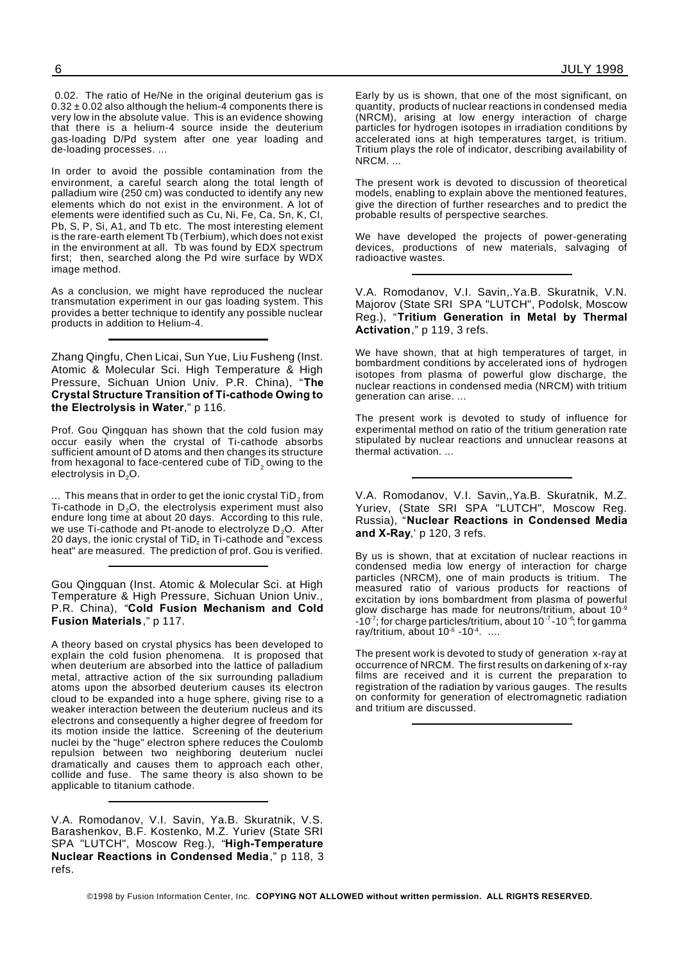0.02. The ratio of He/Ne in the original deuterium gas is  $0.32 \pm 0.02$  also although the helium-4 components there is very low in the absolute value. This is an evidence showing that there is a helium-4 source inside the deuterium gas-loading D/Pd system after one year loading and de-loading processes. ...

In order to avoid the possible contamination from the environment, a careful search along the total length of palladium wire (250 cm) was conducted to identify any new elements which do not exist in the environment. A lot of elements were identified such as Cu, Ni, Fe, Ca, Sn, K, CI, Pb, S, P, Si, A1, and Tb etc. The most interesting element is the rare-earth element Tb (Terbium), which does not exist in the environment at all. Th was found by  $FDX$  spectrum first; then, searched along the Pd wire surface by WDX image method.

As a conclusion, we might have reproduced the nuclear transmutation experiment in our gas loading system. This provides a better technique to identify any possible nuclear products in addition to Helium-4.

Zhang Qingfu, Chen Licai, Sun Yue, Liu Fusheng (Inst. Atomic & Molecular Sci. High Temperature & High Pressure, Sichuan Union Univ. P.R. China), "**The Crystal Structure Transition of Ti-cathode Owing to the Electrolysis in Water**," p 116.

Prof. Gou Qingquan has shown that the cold fusion may occur easily when the crystal of Ti-cathode absorbs sufficient amount of D atoms and then changes its structure from hexagonal to face-centered cube of  $\mathsf{TiD}_2$  owing to the electrolysis in D<sub>2</sub>O.

 $\ldots\,$  This means that in order to get the ionic crystal TiD $_2$  from Ti-cathode in  $D_2O$ , the electrolysis experiment must also endure long time at about 20 days. According to this rule, we use Ti-cathode and Pt-anode to electrolyze  $D_2O$ . After 20 days, the ionic crystal of TiD $_{\rm z}$  in Ti-cathode and "excess heat" are measured. The prediction of prof. Gou is verified.

Gou Qingquan (Inst. Atomic & Molecular Sci. at High Temperature & High Pressure, Sichuan Union Univ., P.R. China), "**Cold Fusion Mechanism and Cold Fusion Materials**," p 117.

A theory based on crystal physics has been developed to explain the cold fusion phenomena. It is proposed that when deuterium are absorbed into the lattice of palladium metal, attractive action of the six surrounding palladium atoms upon the absorbed deuterium causes its electron cloud to be expanded into a huge sphere, giving rise to a weaker interaction between the deuterium nucleus and its electrons and consequently a higher degree of freedom for its motion inside the lattice. Screening of the deuterium nuclei by the "huge" electron sphere reduces the Coulomb repulsion between two neighboring deuterium nuclei dramatically and causes them to approach each other, collide and fuse. The same theory is also shown to be applicable to titanium cathode.

V.A. Romodanov, V.I. Savin, Ya.B. Skuratnik, V.S. Barashenkov, B.F. Kostenko, M.Z. Yuriev (State SRI SPA "LUTCH", Moscow Reg.), "**High-Temperature Nuclear Reactions in Condensed Media**," p 118, 3 refs.

Early by us is shown, that one of the most significant, on quantity, products of nuclear reactions in condensed media (NRCM), arising at low energy interaction of charge particles for hydrogen isotopes in irradiation conditions by accelerated ions at high temperatures target, is tritium. Tritium plays the role of indicator, describing availability of NRCM. ...

The present work is devoted to discussion of theoretical models, enabling to explain above the mentioned features, give the direction of further researches and to predict the probable results of perspective searches.

We have developed the projects of power-generating devices, productions of new materials, salvaging of radioactive wastes.

V.A. Romodanov, V.I. Savin,.Ya.B. Skuratnik, V.N. Majorov (State SRI SPA "LUTCH", Podolsk, Moscow Reg.), "**Tritium Generation in Metal by Thermal Activation**," p 119, 3 refs.

We have shown, that at high temperatures of target, in bombardment conditions by accelerated ions of hydrogen isotopes from plasma of powerful glow discharge, the nuclear reactions in condensed media (NRCM) with tritium generation can arise. ...

The present work is devoted to study of influence for experimental method on ratio of the tritium generation rate stipulated by nuclear reactions and unnuclear reasons at thermal activation. ...

V.A. Romodanov, V.I. Savin,,Ya.B. Skuratnik, M.Z. Yuriev, (State SRI SPA "LUTCH", Moscow Reg. Russia), "**Nuclear Reactions in Condensed Media and X-Ray**,' p 120, 3 refs.

By us is shown, that at excitation of nuclear reactions in condensed media low energy of interaction for charge particles (NRCM), one of main products is tritium. The measured ratio of various products for reactions of excitation by ions bombardment from plasma of powerful glow discharge has made for neutrons/tritium, about 10-9 -10 $^7$ ; for charge particles/tritium, about 10 $^7$ -10 $^6$ ; for gamma ray/tritium, about 10<sup>-6</sup> -10<sup>-4</sup>. ....

The present work is devoted to study of generation x-ray at occurrence of NRCM. The first results on darkening of x-ray films are received and it is current the preparation to registration of the radiation by various gauges. The results on conformity for generation of electromagnetic radiation and tritium are discussed.

©1998 by Fusion Information Center, Inc. **COPYING NOT ALLOWED without written permission. ALL RIGHTS RESERVED.**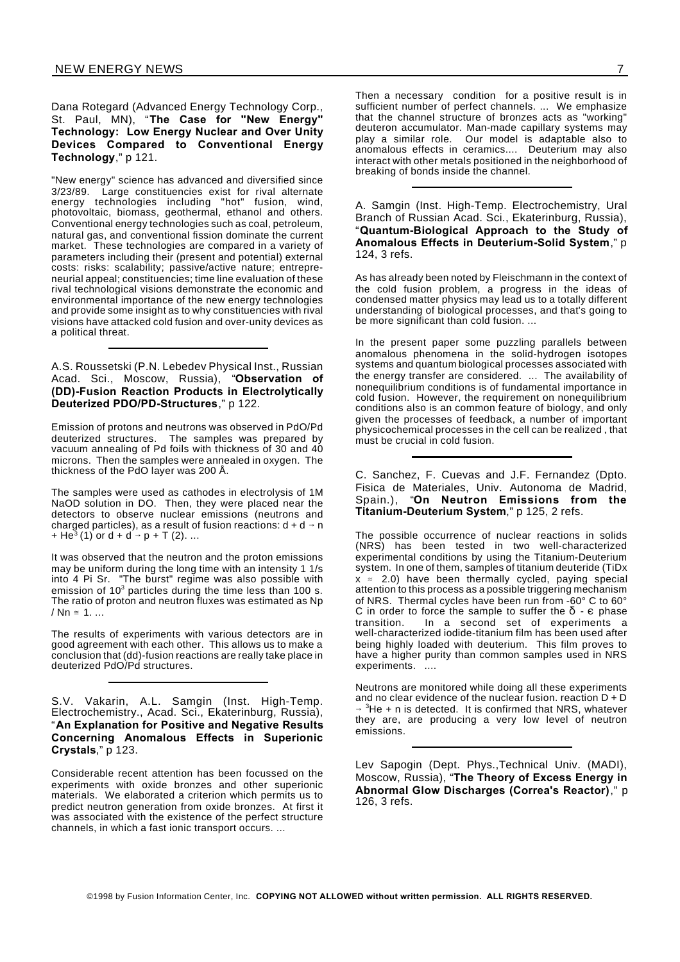Dana Rotegard (Advanced Energy Technology Corp., St. Paul, MN), "**The Case for "New Energy" Technology: Low Energy Nuclear and Over Unity Devices Compared to Conventional Energy Technology**," p 121.

"New energy" science has advanced and diversified since 3/23/89. Large constituencies exist for rival alternate energy technologies including "hot" fusion, wind, photovoltaic, biomass, geothermal, ethanol and others. Conventional energy technologies such as coal, petroleum, natural gas, and conventional fission dominate the current market. These technologies are compared in a variety of parameters including their (present and potential) external costs: risks: scalability; passive/active nature; entrepreneurial appeal; constituencies; time line evaluation of these rival technological visions demonstrate the economic and environmental importance of the new energy technologies and provide some insight as to why constituencies with rival visions have attacked cold fusion and over-unity devices as a political threat.

A.S. Roussetski (P.N. Lebedev Physical Inst., Russian Acad. Sci., Moscow, Russia), "**Observation of (DD)-Fusion Reaction Products in Electrolytically Deuterized PDO/PD-Structures**," p 122.

Emission of protons and neutrons was observed in PdO/Pd deuterized structures. The samples was prepared by vacuum annealing of Pd foils with thickness of 30 and 40 microns. Then the samples were annealed in oxygen. The thickness of the PdO layer was 200 Å.

The samples were used as cathodes in electrolysis of 1M NaOD solution in DO. Then, they were placed near the detectors to observe nuclear emissions (neutrons and charged particles), as a result of fusion reactions:  $d + d \rightarrow n$ + He<sup>3</sup> (1) or d + d  $\rightarrow$  p + T (2). ...

It was observed that the neutron and the proton emissions may be uniform during the long time with an intensity 1 1/s into 4 Pi Sr. "The burst" regime was also possible with emission of 10<sup>3</sup> particles during the time less than 100 s. The ratio of proton and neutron fluxes was estimated as Np /  $\mathsf{Nn} \cong 1$ 

The results of experiments with various detectors are in good agreement with each other. This allows us to make a conclusion that (dd)-fusion reactions are really take place in deuterized PdO/Pd structures.

S.V. Vakarin, A.L. Samgin (Inst. High-Temp. Electrochemistry., Acad. Sci., Ekaterinburg, Russia), "**An Explanation for Positive and Negative Results Concerning Anomalous Effects in Superionic Crystals**," p 123.

Considerable recent attention has been focussed on the experiments with oxide bronzes and other superionic materials. We elaborated a criterion which permits us to predict neutron generation from oxide bronzes. At first it was associated with the existence of the perfect structure channels, in which a fast ionic transport occurs. ...

Then a necessary condition for a positive result is in sufficient number of perfect channels. ... We emphasize that the channel structure of bronzes acts as "working" deuteron accumulator. Man-made capillary systems may play a similar role. Our model is adaptable also to anomalous effects in ceramics.... Deuterium may also interact with other metals positioned in the neighborhood of breaking of bonds inside the channel.

A. Samgin (Inst. High-Temp. Electrochemistry, Ural Branch of Russian Acad. Sci., Ekaterinburg, Russia), "**Quantum-Biological Approach to the Study of Anomalous Effects in Deuterium-Solid System**," p 124, 3 refs.

As has already been noted by Fleischmann in the context of the cold fusion problem, a progress in the ideas of condensed matter physics may lead us to a totally different understanding of biological processes, and that's going to be more significant than cold fusion. ...

In the present paper some puzzling parallels between anomalous phenomena in the solid-hydrogen isotopes systems and quantum biological processes associated with the energy transfer are considered. ... The availability of nonequilibrium conditions is of fundamental importance in cold fusion. However, the requirement on nonequilibrium conditions also is an common feature of biology, and only given the processes of feedback, a number of important physicochemical processes in the cell can be realized , that must be crucial in cold fusion.

C. Sanchez, F. Cuevas and J.F. Fernandez (Dpto. Fisica de Materiales, Univ. Autonoma de Madrid, Spain.), "**On Neutron Emissions from the Titanium-Deuterium System**," p 125, 2 refs.

The possible occurrence of nuclear reactions in solids (NRS) has been tested in two well-characterized experimental conditions by using the Titanium-Deuterium system. In one of them, samples of titanium deuteride (TiDx  $x \approx 2.0$ ) have been thermally cycled, paying special attention to this process as a possible triggering mechanism of NRS. Thermal cycles have been run from -60° C to 60° C in order to force the sample to suffer the  $\delta$  -  $\epsilon$  phase transition. In a second set of experiments a well-characterized iodide-titanium film has been used after being highly loaded with deuterium. This film proves to have a higher purity than common samples used in NRS experiments. ....

Neutrons are monitored while doing all these experiments and no clear evidence of the nuclear fusion. reaction  $D + D$  $\rightarrow$  <sup>3</sup>He + n is detected. It is confirmed that NRS, whatever they are, are producing a very low level of neutron emissions.

Lev Sapogin (Dept. Phys.,Technical Univ. (MADI), Moscow, Russia), "**The Theory of Excess Energy in Abnormal Glow Discharges (Correa's Reactor)**," p 126, 3 refs.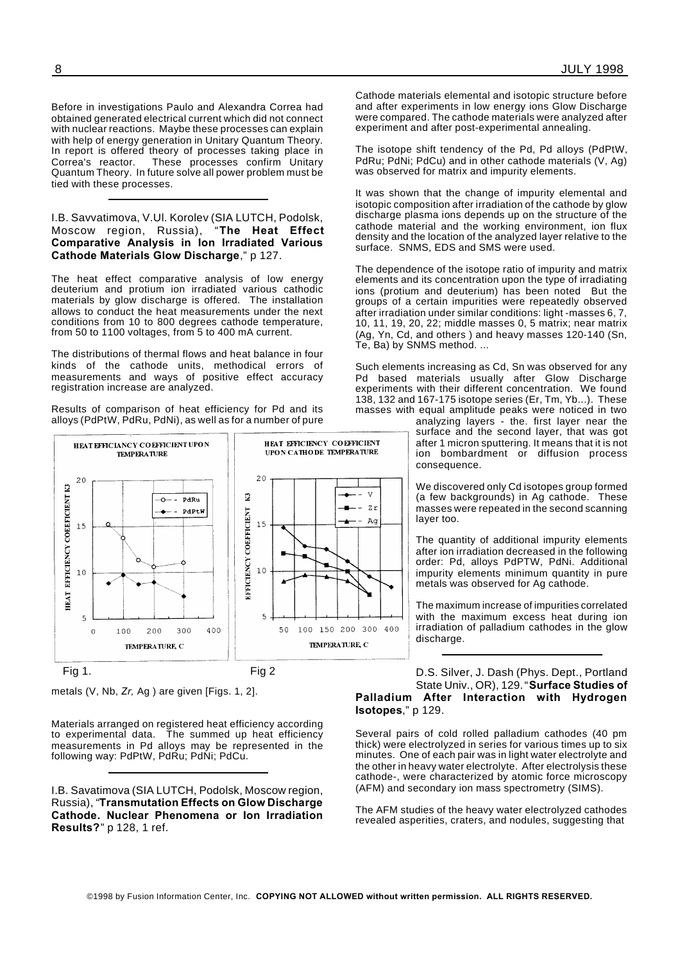Before in investigations Paulo and Alexandra Correa had obtained generated electrical current which did not connect with nuclear reactions. Maybe these processes can explain with help of energy generation in Unitary Quantum Theory. In report is offered theory of processes taking place in Correa's reactor. These processes confirm Unitary Quantum Theory. In future solve all power problem must be tied with these processes.

I.B. Savvatimova, V.Ul. Korolev (SIA LUTCH, Podolsk, Moscow region, Russia), "**The Heat Effect Comparative Analysis in Ion Irradiated Various Cathode Materials Glow Discharge**," p 127.

The heat effect comparative analysis of low energy deuterium and protium ion irradiated various cathodic materials by glow discharge is offered. The installation allows to conduct the heat measurements under the next conditions from 10 to 800 degrees cathode temperature, from 50 to 1100 voltages, from 5 to 400 mA current.

The distributions of thermal flows and heat balance in four kinds of the cathode units, methodical errors of measurements and ways of positive effect accuracy registration increase are analyzed.

Results of comparison of heat efficiency for Pd and its alloys (PdPtW, PdRu, PdNi), as well as for a number of pure



Fig 1. Fig 2

metals (V, Nb, *Zr,* Ag ) are given [Figs. 1, 2].

Materials arranged on registered heat efficiency according to experimental data. The summed up heat efficiency measurements in Pd alloys may be represented in the following way: PdPtW, PdRu; PdNi; PdCu.

I.B. Savatimova (SIA LUTCH, Podolsk, Moscow region, Russia), "**Transmutation Effects on Glow Discharge Cathode. Nuclear Phenomena or Ion Irradiation Results?**" p 128, 1 ref.

Cathode materials elemental and isotopic structure before and after experiments in low energy ions Glow Discharge were compared. The cathode materials were analyzed after experiment and after post-experimental annealing.

The isotope shift tendency of the Pd, Pd alloys (PdPtW, PdRu; PdNi; PdCu) and in other cathode materials (V, Ag) was observed for matrix and impurity elements.

It was shown that the change of impurity elemental and isotopic composition after irradiation of the cathode by glow discharge plasma ions depends up on the structure of the cathode material and the working environment, ion flux density and the location of the analyzed layer relative to the surface. SNMS, EDS and SMS were used.

The dependence of the isotope ratio of impurity and matrix elements and its concentration upon the type of irradiating ions (protium and deuterium) has been noted But the groups of a certain impurities were repeatedly observed after irradiation under similar conditions: light -masses 6, 7, 10, 11, 19, 20, 22; middle masses 0, 5 matrix; near matrix (Ag, Yn, Cd, and others ) and heavy masses 120-140 (Sn, Te, Ba) by SNMS method. ...

Such elements increasing as Cd, Sn was observed for any Pd based materials usually after Glow Discharge experiments with their different concentration. We found 138, 132 and 167-175 isotope series (Er, Tm, Yb...). These masses with equal amplitude peaks were noticed in two

analyzing layers - the. first layer near the surface and the second layer, that was got after 1 micron sputtering. It means that it is not ion bombardment or diffusion process consequence.

We discovered only Cd isotopes group formed (a few backgrounds) in Ag cathode. These masses were repeated in the second scanning layer too.

The quantity of additional impurity elements after ion irradiation decreased in the following order: Pd, alloys PdPTW, PdNi. Additional impurity elements minimum quantity in pure metals was observed for Ag cathode.

The maximum increase of impurities correlated with the maximum excess heat during ion irradiation of palladium cathodes in the glow discharge.

D.S. Silver, J. Dash (Phys. Dept., Portland State Univ., OR), 129."**Surface Studies of Palladium After Interaction with Hydrogen Isotopes**," p 129.

Several pairs of cold rolled palladium cathodes (40 pm thick) were electrolyzed in series for various times up to six minutes. One of each pair was in light water electrolyte and the other in heavy water electrolyte. After electrolysis these cathode-, were characterized by atomic force microscopy (AFM) and secondary ion mass spectrometry (SIMS).

The AFM studies of the heavy water electrolyzed cathodes revealed asperities, craters, and nodules, suggesting that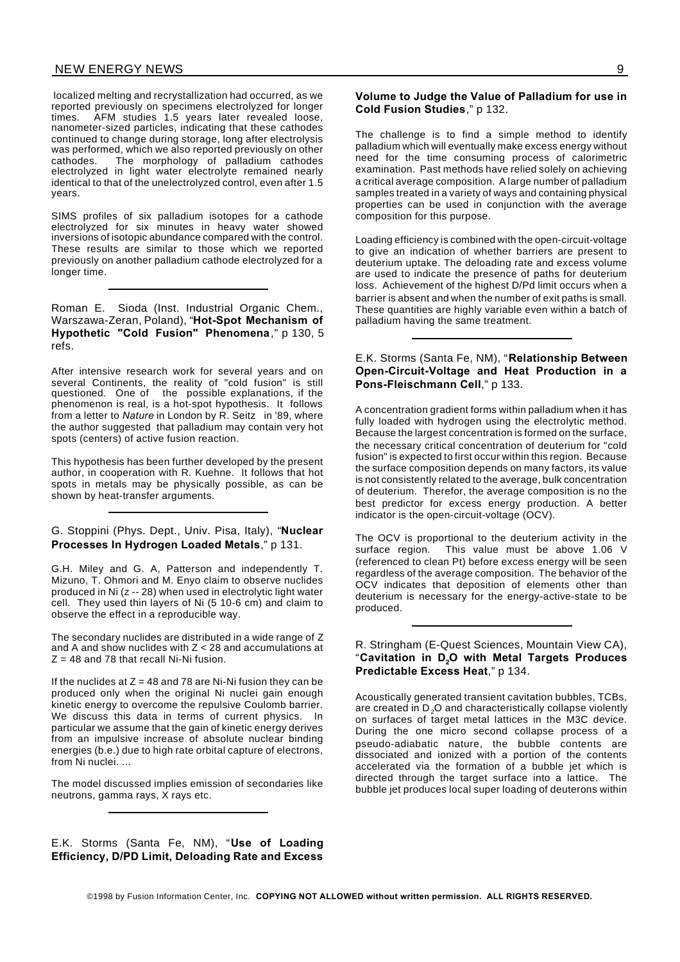localized melting and recrystallization had occurred, as we reported previously on specimens electrolyzed for longer times. AFM studies 1.5 years later revealed loose, nanometer-sized particles, indicating that these cathodes continued to change during storage, long after electrolysis was performed, which we also reported previously on other cathodes. The morphology of palladium cathodes electrolyzed in light water electrolyte remained nearly identical to that of the unelectrolyzed control, even after 1.5 years.

SIMS profiles of six palladium isotopes for a cathode electrolyzed for six minutes in heavy water showed inversions of isotopic abundance compared with the control. These results are similar to those which we reported previously on another palladium cathode electrolyzed for a longer time.

Roman E. Sioda (Inst. Industrial Organic Chem., Warszawa-Zeran, Poland), "**Hot-Spot Mechanism of Hypothetic "Cold Fusion" Phenomena**," p 130, 5 refs.

After intensive research work for several years and on several Continents, the reality of "cold fusion" is still questioned. One of the possible explanations, if the phenomenon is real, is a hot-spot hypothesis. It follows from a letter to *Nature* in London by R. Seitz in '89, where the author suggested that palladium may contain very hot spots (centers) of active fusion reaction.

This hypothesis has been further developed by the present author, in cooperation with R. Kuehne. It follows that hot spots in metals may be physically possible, as can be shown by heat-transfer arguments.

#### G. Stoppini (Phys. Dept., Univ. Pisa, Italy), "**Nuclear Processes In Hydrogen Loaded Metals**," p 131.

G.H. Miley and G. A, Patterson and independently T. Mizuno, T. Ohmori and M. Enyo claim to observe nuclides produced in Ni (z -- 28) when used in electrolytic light water cell. They used thin layers of Ni (5 10-6 cm) and claim to observe the effect in a reproducible way.

The secondary nuclides are distributed in a wide range of Z and A and show nuclides with  $Z < 28$  and accumulations at  $Z = 48$  and 78 that recall Ni-Ni fusion.

If the nuclides at  $Z = 48$  and 78 are Ni-Ni fusion they can be produced only when the original Ni nuclei gain enough kinetic energy to overcome the repulsive Coulomb barrier. We discuss this data in terms of current physics. In particular we assume that the gain of kinetic energy derives from an impulsive increase of absolute nuclear binding energies (b.e.) due to high rate orbital capture of electrons, from Ni nuclei. ...

The model discussed implies emission of secondaries like neutrons, gamma rays, X rays etc.

**Volume to Judge the Value of Palladium for use in Cold Fusion Studies**," p 132.

The challenge is to find a simple method to identify palladium which will eventually make excess energy without need for the time consuming process of calorimetric examination. Past methods have relied solely on achieving a critical average composition. A large number of palladium samples treated in a variety of ways and containing physical properties can be used in conjunction with the average composition for this purpose.

Loading efficiency is combined with the open-circuit-voltage to give an indication of whether barriers are present to deuterium uptake. The deloading rate and excess volume are used to indicate the presence of paths for deuterium loss. Achievement of the highest D/Pd limit occurs when a barrier is absent and when the number of exit paths is small. These quantities are highly variable even within a batch of palladium having the same treatment.

#### E.K. Storms (Santa Fe, NM), "**Relationship Between Open-Circuit-Voltage and Heat Production in a Pons-Fleischmann Cell**," p 133.

A concentration gradient forms within palladium when it has fully loaded with hydrogen using the electrolytic method. Because the largest concentration is formed on the surface, the necessary critical concentration of deuterium for "cold fusion" is expected to first occur within this region. Because the surface composition depends on many factors, its value is not consistently related to the average, bulk concentration of deuterium. Therefor, the average composition is no the best predictor for excess energy production. A better indicator is the open-circuit-voltage (OCV).

The OCV is proportional to the deuterium activity in the surface region. This value must be above 1.06 V (referenced to clean Pt) before excess energy will be seen regardless of the average composition. The behavior of the OCV indicates that deposition of elements other than deuterium is necessary for the energy-active-state to be produced.

#### R. Stringham (E-Quest Sciences, Mountain View CA), "**Cavitation in D2O with Metal Targets Produces Predictable Excess Heat**," p 134.

Acoustically generated transient cavitation bubbles, TCBs, are created in  $D_2O$  and characteristically collapse violently on surfaces of target metal lattices in the M3C device. During the one micro second collapse process of a pseudo-adiabatic nature, the bubble contents are dissociated and ionized with a portion of the contents accelerated via the formation of a bubble jet which is directed through the target surface into a lattice. The bubble jet produces local super loading of deuterons within

E.K. Storms (Santa Fe, NM), "**Use of Loading Efficiency, D/PD Limit, Deloading Rate and Excess**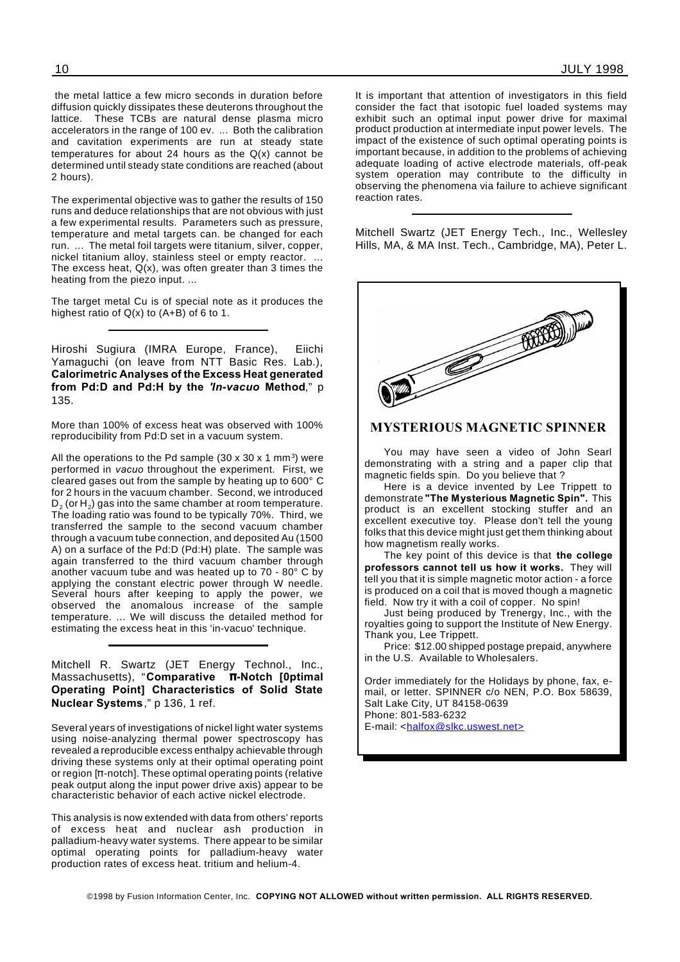the metal lattice a few micro seconds in duration before diffusion quickly dissipates these deuterons throughout the lattice. These TCBs are natural dense plasma micro accelerators in the range of 100 ev. ... Both the calibration and cavitation experiments are run at steady state temperatures for about 24 hours as the  $Q(x)$  cannot be determined until steady state conditions are reached (about 2 hours).

The experimental objective was to gather the results of 150 runs and deduce relationships that are not obvious with just a few experimental results. Parameters such as pressure, temperature and metal targets can. be changed for each run. ... The metal foil targets were titanium, silver, copper, nickel titanium alloy, stainless steel or empty reactor. ... The excess heat,  $Q(x)$ , was often greater than 3 times the heating from the piezo input. ...

The target metal Cu is of special note as it produces the highest ratio of Q(x) to (A+B) of 6 to 1.

Hiroshi Sugiura (IMRA Europe, France), Eiichi Yamaguchi (on leave from NTT Basic Res. Lab.), **Calorimetric Analyses of the Excess Heat generated from Pd:D and Pd:H by the** *'In-vacuo* **Method**," p 135.

More than 100% of excess heat was observed with 100% reproducibility from Pd:D set in a vacuum system.

All the operations to the Pd sample (30 x 30 x 1 mm<sup>3</sup>) were performed in *vacuo* throughout the experiment. First, we cleared gases out from the sample by heating up to 600° C for 2 hours in the vacuum chamber. Second, we introduced D $_{\rm 2}$  (or H $_{\rm 2}$ ) gas into the same chamber at room temperature. The loading ratio was found to be typically 70%. Third, we transferred the sample to the second vacuum chamber through a vacuum tube connection, and deposited Au (1500 A) on a surface of the Pd:D (Pd:H) plate. The sample was again transferred to the third vacuum chamber through another vacuum tube and was heated up to 70 - 80° C by applying the constant electric power through W needle. Several hours after keeping to apply the power, we observed the anomalous increase of the sample temperature. ... We will discuss the detailed method for estimating the excess heat in this 'in-vacuo' technique.

Mitchell R. Swartz (JET Energy Technol., Inc., Massachusetts), "Comparative **T-Notch [0ptimal Operating Point] Characteristics of Solid State Nuclear Systems**," p 136, 1 ref.

Several years of investigations of nickel light water systems using noise-analyzing thermal power spectroscopy has revealed a reproducible excess enthalpy achievable through driving these systems only at their optimal operating point or region  $[n$ -notch]. These optimal operating points (relative peak output along the input power drive axis) appear to be characteristic behavior of each active nickel electrode.

This analysis is now extended with data from others' reports of excess heat and nuclear ash production in palladium-heavy water systems. There appear to be similar optimal operating points for palladium-heavy water production rates of excess heat. tritium and helium-4.

It is important that attention of investigators in this field consider the fact that isotopic fuel loaded systems may exhibit such an optimal input power drive for maximal product production at intermediate input power levels. The impact of the existence of such optimal operating points is important because, in addition to the problems of achieving adequate loading of active electrode materials, off-peak system operation may contribute to the difficulty in observing the phenomena via failure to achieve significant reaction rates.

Mitchell Swartz (JET Energy Tech., Inc., Wellesley Hills, MA, & MA Inst. Tech., Cambridge, MA), Peter L.



#### **MYSTERIOUS MAGNETIC SPINNER**

You may have seen a video of John Searl demonstrating with a string and a paper clip that magnetic fields spin. Do you believe that ?

Here is a device invented by Lee Trippett to demonstrate **"The Mysterious Magnetic Spin".** This product is an excellent stocking stuffer and an excellent executive toy. Please don't tell the young folks that this device might just get them thinking about how magnetism really works.

The key point of this device is that **the college professors cannot tell us how it works.** They will tell you that it is simple magnetic motor action - a force is produced on a coil that is moved though a magnetic field. Now try it with a coil of copper. No spin!

Just being produced by Trenergy, Inc., with the royalties going to support the Institute of New Energy. Thank you, Lee Trippett.

Price: \$12.00 shipped postage prepaid, anywhere in the U.S. Available to Wholesalers.

Order immediately for the Holidays by phone, fax, email, or letter. SPINNER c/o NEN, P.O. Box 58639, Salt Lake City, UT 84158-0639 Phone: 801-583-6232 E-mail: <halfox@slkc.uswest.net>

©1998 by Fusion Information Center, Inc. **COPYING NOT ALLOWED without written permission. ALL RIGHTS RESERVED.**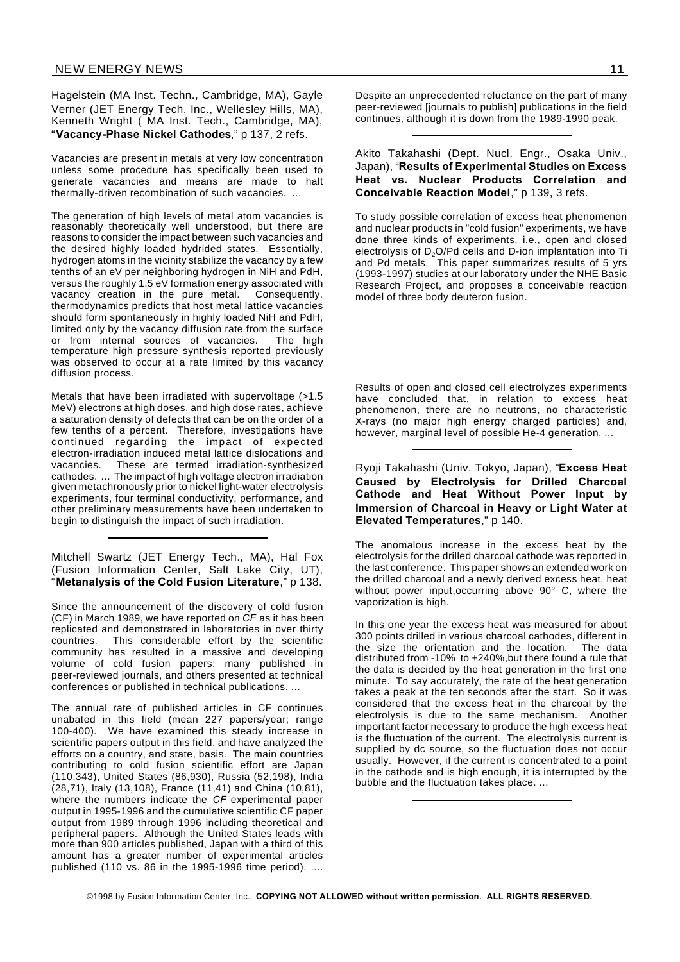Hagelstein (MA Inst. Techn., Cambridge, MA), Gayle Verner (JET Energy Tech. Inc., Wellesley Hills, MA), Kenneth Wright ( MA Inst. Tech., Cambridge, MA), "**Vacancy-Phase Nickel Cathodes**," p 137, 2 refs.

Vacancies are present in metals at very low concentration unless some procedure has specifically been used to generate vacancies and means are made to halt thermally-driven recombination of such vacancies. ...

The generation of high levels of metal atom vacancies is reasonably theoretically well understood, but there are reasons to consider the impact between such vacancies and the desired highly loaded hydrided states. Essentially, hydrogen atoms in the vicinity stabilize the vacancy by a few tenths of an eV per neighboring hydrogen in NiH and PdH, versus the roughly 1.5 eV formation energy associated with vacancy creation in the pure metal. Consequently. thermodynamics predicts that host metal lattice vacancies should form spontaneously in highly loaded NiH and PdH, limited only by the vacancy diffusion rate from the surface or from internal sources of vacancies. The high temperature high pressure synthesis reported previously was observed to occur at a rate limited by this vacancy diffusion process.

Metals that have been irradiated with supervoltage (>1.5 MeV) electrons at high doses, and high dose rates, achieve a saturation density of defects that can be on the order of a few tenths of a percent. Therefore, investigations have continued regarding the impact of expected electron-irradiation induced metal lattice dislocations and vacancies. These are termed irradiation-synthesized cathodes. ... The impact of high voltage electron irradiation given metachronously prior to nickel light-water electrolysis experiments, four terminal conductivity, performance, and other preliminary measurements have been undertaken to begin to distinguish the impact of such irradiation.

Mitchell Swartz (JET Energy Tech., MA), Hal Fox (Fusion Information Center, Salt Lake City, UT), "**Metanalysis of the Cold Fusion Literature**," p 138.

Since the announcement of the discovery of cold fusion (CF) in March 1989, we have reported on *CF* as it has been replicated and demonstrated in laboratories in over thirty countries. This considerable effort by the scientific community has resulted in a massive and developing volume of cold fusion papers; many published in peer-reviewed journals, and others presented at technical conferences or published in technical publications. ...

The annual rate of published articles in CF continues unabated in this field (mean 227 papers/year; range 100-400). We have examined this steady increase in scientific papers output in this field, and have analyzed the efforts on a country, and state, basis. The main countries contributing to cold fusion scientific effort are Japan (110,343), United States (86,930), Russia (52,198), India (28,71), Italy (13,108), France (11,41) and China (10,81), where the numbers indicate the *CF* experimental paper output in 1995-1996 and the cumulative scientific CF paper output from 1989 through 1996 including theoretical and peripheral papers. Although the United States leads with more than 900 articles published, Japan with a third of this amount has a greater number of experimental articles published (110 vs. 86 in the 1995-1996 time period). ....

Despite an unprecedented reluctance on the part of many peer-reviewed [journals to publish] publications in the field continues, although it is down from the 1989-1990 peak.

Akito Takahashi (Dept. Nucl. Engr., Osaka Univ., Japan), "**Results of Experimental Studies on Excess Heat vs. Nuclear Products Correlation and Conceivable Reaction Model**," p 139, 3 refs.

To study possible correlation of excess heat phenomenon and nuclear products in "cold fusion" experiments, we have done three kinds of experiments, i.e., open and closed electrolysis of D<sub>2</sub>O/Pd cells and D-ion implantation into Ti and Pd metals. This paper summarizes results of 5 yrs (1993-1997) studies at our laboratory under the NHE Basic Research Project, and proposes a conceivable reaction model of three body deuteron fusion.

Results of open and closed cell electrolyzes experiments have concluded that, in relation to excess heat phenomenon, there are no neutrons, no characteristic X-rays (no major high energy charged particles) and, however, marginal level of possible He-4 generation. ...

Ryoji Takahashi (Univ. Tokyo, Japan), "**Excess Heat Caused by Electrolysis for Drilled Charcoal Cathode and Heat Without Power Input by Immersion of Charcoal in Heavy or Light Water at Elevated Temperatures**," p 140.

The anomalous increase in the excess heat by the electrolysis for the drilled charcoal cathode was reported in the last conference. This paper shows an extended work on the drilled charcoal and a newly derived excess heat, heat without power input,occurring above 90° C, where the vaporization is high.

In this one year the excess heat was measured for about 300 points drilled in various charcoal cathodes, different in the size the orientation and the location. The data distributed from -10% to +240%,but there found a rule that the data is decided by the heat generation in the first one minute. To say accurately, the rate of the heat generation takes a peak at the ten seconds after the start. So it was considered that the excess heat in the charcoal by the electrolysis is due to the same mechanism. Another important factor necessary to produce the high excess heat is the fluctuation of the current. The electrolysis current is supplied by dc source, so the fluctuation does not occur usually. However, if the current is concentrated to a point in the cathode and is high enough, it is interrupted by the bubble and the fluctuation takes place. ...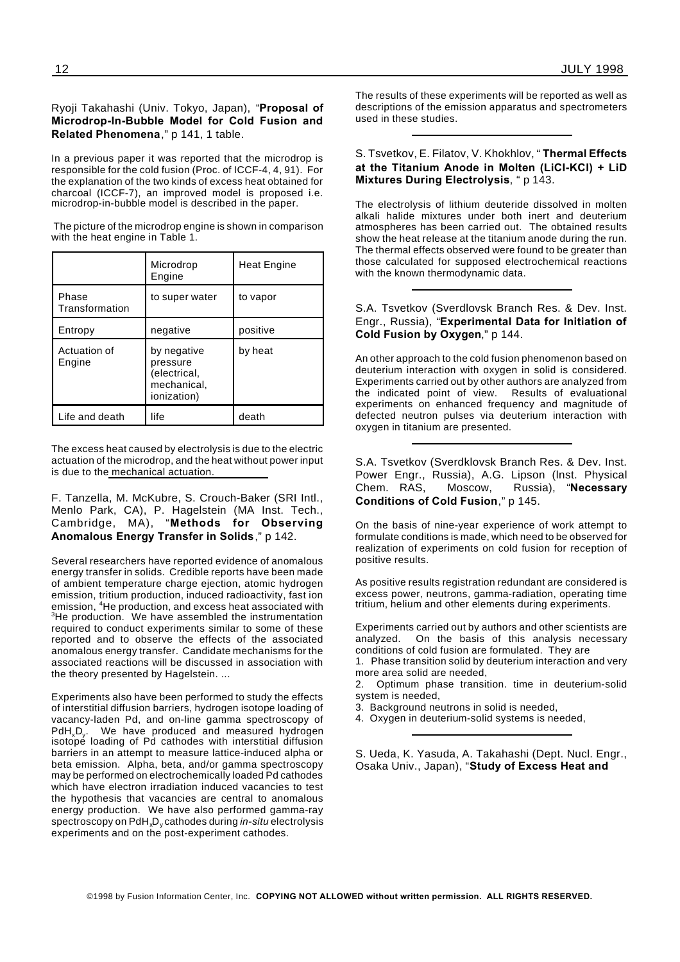#### Ryoji Takahashi (Univ. Tokyo, Japan), "**Proposal of Microdrop-In-Bubble Model for Cold Fusion and Related Phenomena**," p 141, 1 table.

In a previous paper it was reported that the microdrop is responsible for the cold fusion (Proc. of ICCF-4, 4, 91). For the explanation of the two kinds of excess heat obtained for charcoal (ICCF-7), an improved model is proposed i.e. microdrop-in-bubble model is described in the paper.

The picture of the microdrop engine is shown in comparison with the heat engine in Table 1.

|                         | Microdrop<br>Engine                                                   | <b>Heat Engine</b> |
|-------------------------|-----------------------------------------------------------------------|--------------------|
| Phase<br>Transformation | to super water                                                        | to vapor           |
| Entropy                 | negative                                                              | positive           |
| Actuation of<br>Engine  | by negative<br>pressure<br>(electrical,<br>mechanical,<br>ionization) | by heat            |
|                         |                                                                       |                    |

The excess heat caused by electrolysis is due to the electric actuation of the microdrop, and the heat without power input is due to the mechanical actuation.

F. Tanzella, M. McKubre, S. Crouch-Baker (SRI Intl., Menlo Park, CA), P. Hagelstein (MA Inst. Tech., Cambridge, MA), "**Methods for Observing Anomalous Energy Transfer in Solids**," p 142.

Several researchers have reported evidence of anomalous energy transfer in solids. Credible reports have been made of ambient temperature charge ejection, atomic hydrogen emission, tritium production, induced radioactivity, fast ion emission, <sup>4</sup>He production, and excess heat associated with <sup>3</sup>He production. We have assembled the instrumentation required to conduct experiments similar to some of these reported and to observe the effects of the associated anomalous energy transfer. Candidate mechanisms for the associated reactions will be discussed in association with the theory presented by Hagelstein. ...

Experiments also have been performed to study the effects of interstitial diffusion barriers, hydrogen isotope loading of vacancy-laden Pd, and on-line gamma spectroscopy of PdH<sub>x</sub>D<sub>y</sub>. We have produced and measured hydrogen isotope loading of Pd cathodes with interstitial diffusion barriers in an attempt to measure lattice-induced alpha or beta emission. Alpha, beta, and/or gamma spectroscopy may be performed on electrochemically loaded Pd cathodes which have electron irradiation induced vacancies to test the hypothesis that vacancies are central to anomalous energy production. We have also performed gamma-ray spectroscopy on PdH<sub>x</sub>D<sub>y</sub> cathodes during *in-situ* electrolysis experiments and on the post-experiment cathodes.

The results of these experiments will be reported as well as descriptions of the emission apparatus and spectrometers used in these studies.

#### S. Tsvetkov, E. Filatov, V. Khokhlov, " **Thermal Effects at the Titanium Anode in Molten (LiCI-KCI) + LiD Mixtures During Electrolysis**, " p 143.

The electrolysis of lithium deuteride dissolved in molten alkali halide mixtures under both inert and deuterium atmospheres has been carried out. The obtained results show the heat release at the titanium anode during the run. The thermal effects observed were found to be greater than those calculated for supposed electrochemical reactions with the known thermodynamic data.

#### S.A. Tsvetkov (Sverdlovsk Branch Res. & Dev. Inst. Engr., Russia), "**Experimental Data for Initiation of Cold Fusion by Oxygen**," p 144.

An other approach to the cold fusion phenomenon based on deuterium interaction with oxygen in solid is considered. Experiments carried out by other authors are analyzed from the indicated point of view. Results of evaluational experiments on enhanced frequency and magnitude of defected neutron pulses via deuterium interaction with oxygen in titanium are presented.

S.A. Tsvetkov (Sverdklovsk Branch Res. & Dev. Inst. Power Engr., Russia), A.G. Lipson (lnst. Physical Chem. RAS, Moscow, Russia), "**Necessary Conditions of Cold Fusion**," p 145.

On the basis of nine-year experience of work attempt to formulate conditions is made, which need to be observed for realization of experiments on cold fusion for reception of positive results.

As positive results registration redundant are considered is excess power, neutrons, gamma-radiation, operating time tritium, helium and other elements during experiments.

Experiments carried out by authors and other scientists are analyzed. On the basis of this analysis necessary conditions of cold fusion are formulated. They are

1. Phase transition solid by deuterium interaction and very more area solid are needed,

2. Optimum phase transition. time in deuterium-solid system is needed,

3. Background neutrons in solid is needed,

4. Oxygen in deuterium-solid systems is needed,

S. Ueda, K. Yasuda, A. Takahashi (Dept. Nucl. Engr., Osaka Univ., Japan), "**Study of Excess Heat and**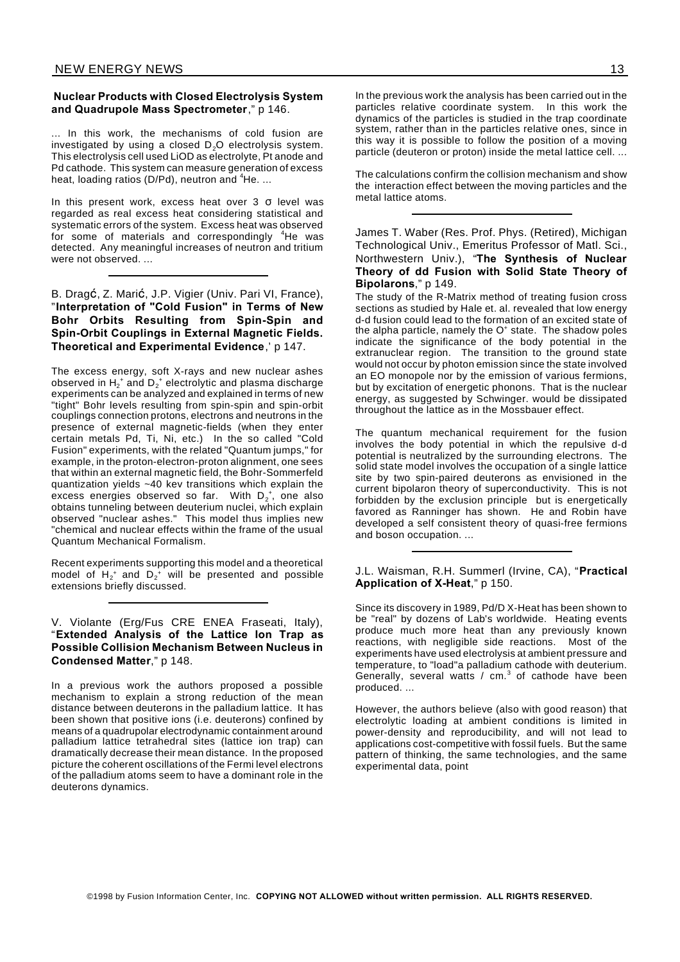#### **Nuclear Products with Closed Electrolysis System and Quadrupole Mass Spectrometer**," p 146.

... In this work, the mechanisms of cold fusion are investigated by using a closed  $D_2O$  electrolysis system. This electrolysis cell used LiOD as electrolyte, Pt anode and Pd cathode. This system can measure generation of excess heat, loading ratios ( $D/Pd$ ), neutron and  ${}^{4}He$ ...

In this present work, excess heat over  $3\,$   $\sigma$  level was regarded as real excess heat considering statistical and systematic errors of the system. Excess heat was observed for some of materials and correspondingly <sup>4</sup>He was detected. Any meaningful increases of neutron and tritium were not observed. ...

B. Dragć, Z. Marić, J.P. Vigier (Univ. Pari VI, France), "**Interpretation of "Cold Fusion" in Terms of New Bohr Orbits Resulting from Spin-Spin and Spin-Orbit Couplings in External Magnetic Fields. Theoretical and Experimental Evidence**,' p 147.

The excess energy, soft X-rays and new nuclear ashes observed in  $\mathsf{H_2}^*$  and  $\mathsf{D_2}^*$  electrolytic and plasma discharge experiments can be analyzed and explained in terms of new "tight" Bohr levels resulting from spin-spin and spin-orbit couplings connection protons, electrons and neutrons in the presence of external magnetic-fields (when they enter certain metals Pd, Ti, Ni, etc.) In the so called "Cold Fusion" experiments, with the related "Quantum jumps," for example, in the proton-electron-proton alignment, one sees that within an external magnetic field, the Bohr-Sommerfeld quantization yields ~40 kev transitions which explain the excess energies observed so far. With  $D_2^+$ , one also obtains tunneling between deuterium nuclei, which explain observed "nuclear ashes." This model thus implies new "chemical and nuclear effects within the frame of the usual Quantum Mechanical Formalism.

Recent experiments supporting this model and a theoretical model of  $H_2^+$  and  $D_2^+$  will be presented and possible extensions briefly discussed.

V. Violante (Erg/Fus CRE ENEA Fraseati, Italy), "**Extended Analysis of the Lattice Ion Trap as Possible Collision Mechanism Between Nucleus in Condensed Matter**," p 148.

In a previous work the authors proposed a possible mechanism to explain a strong reduction of the mean distance between deuterons in the palladium lattice. It has been shown that positive ions (i.e. deuterons) confined by means of a quadrupolar electrodynamic containment around palladium lattice tetrahedral sites (lattice ion trap) can dramatically decrease their mean distance. In the proposed picture the coherent oscillations of the Fermi level electrons of the palladium atoms seem to have a dominant role in the deuterons dynamics.

In the previous work the analysis has been carried out in the particles relative coordinate system. In this work the dynamics of the particles is studied in the trap coordinate system, rather than in the particles relative ones, since in this way it is possible to follow the position of a moving particle (deuteron or proton) inside the metal lattice cell. ...

The calculations confirm the collision mechanism and show the interaction effect between the moving particles and the metal lattice atoms.

James T. Waber (Res. Prof. Phys. (Retired), Michigan Technological Univ., Emeritus Professor of Matl. Sci., Northwestern Univ.), "**The Synthesis of Nuclear Theory of dd Fusion with Solid State Theory of Bipolarons**," p 149.

The study of the R-Matrix method of treating fusion cross sections as studied by Hale et. al. revealed that low energy d-d fusion could lead to the formation of an excited state of the alpha particle, namely the O<sup>+</sup> state. The shadow poles indicate the significance of the body potential in the extranuclear region. The transition to the ground state would not occur by photon emission since the state involved an EO monopole nor by the emission of various fermions, but by excitation of energetic phonons. That is the nuclear energy, as suggested by Schwinger. would be dissipated throughout the lattice as in the Mossbauer effect.

The quantum mechanical requirement for the fusion involves the body potential in which the repulsive d-d potential is neutralized by the surrounding electrons. The solid state model involves the occupation of a single lattice site by two spin-paired deuterons as envisioned in the current bipolaron theory of superconductivity. This is not forbidden by the exclusion principle but is energetically favored as Ranninger has shown. He and Robin have developed a self consistent theory of quasi-free fermions and boson occupation. ...

J.L. Waisman, R.H. Summerl (Irvine, CA), "**Practical Application of X-Heat**," p 150.

Since its discovery in 1989, Pd/D X-Heat has been shown to be "real" by dozens of Lab's worldwide. Heating events produce much more heat than any previously known reactions, with negligible side reactions. Most of the experiments have used electrolysis at ambient pressure and temperature, to "load"a palladium cathode with deuterium. Generally, several watts /  $cm<sup>3</sup>$  of cathode have been produced. ...

However, the authors believe (also with good reason) that electrolytic loading at ambient conditions is limited in power-density and reproducibility, and will not lead to applications cost-competitive with fossil fuels. But the same pattern of thinking, the same technologies, and the same experimental data, point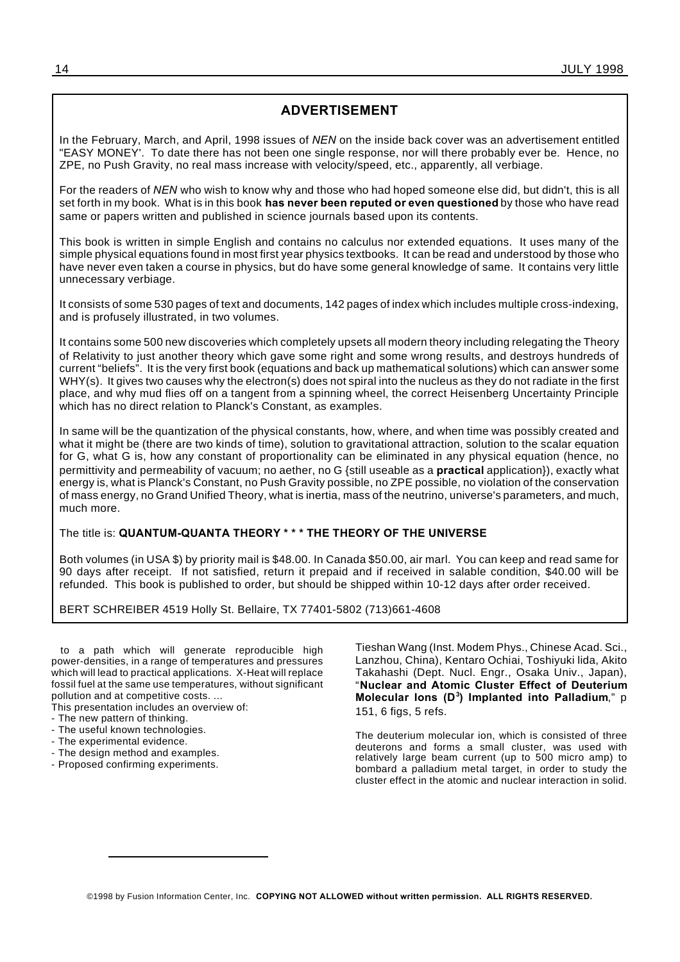#### **ADVERTISEMENT**

In the February, March, and April, 1998 issues of *NEN* on the inside back cover was an advertisement entitled "EASY MONEY'. To date there has not been one single response, nor will there probably ever be. Hence, no ZPE, no Push Gravity, no real mass increase with velocity/speed, etc., apparently, all verbiage.

For the readers of *NEN* who wish to know why and those who had hoped someone else did, but didn't, this is all set forth in my book. What is in this book **has never been reputed or even questioned** by those who have read same or papers written and published in science journals based upon its contents.

This book is written in simple English and contains no calculus nor extended equations. It uses many of the simple physical equations found in most first year physics textbooks. It can be read and understood by those who have never even taken a course in physics, but do have some general knowledge of same. It contains very little unnecessary verbiage.

It consists of some 530 pages of text and documents, 142 pages of index which includes multiple cross-indexing, and is profusely illustrated, in two volumes.

It contains some 500 new discoveries which completely upsets all modern theory including relegating the Theory of Relativity to just another theory which gave some right and some wrong results, and destroys hundreds of current "beliefs". It is the very first book (equations and back up mathematical solutions) which can answer some WHY(s). It gives two causes why the electron(s) does not spiral into the nucleus as they do not radiate in the first place, and why mud flies off on a tangent from a spinning wheel, the correct Heisenberg Uncertainty Principle which has no direct relation to Planck's Constant, as examples.

In same will be the quantization of the physical constants, how, where, and when time was possibly created and what it might be (there are two kinds of time), solution to gravitational attraction, solution to the scalar equation for G, what G is, how any constant of proportionality can be eliminated in any physical equation (hence, no permittivity and permeability of vacuum; no aether, no G {still useable as a **practical** application}), exactly what energy is, what is Planck's Constant, no Push Gravity possible, no ZPE possible, no violation of the conservation of mass energy, no Grand Unified Theory, what is inertia, mass of the neutrino, universe's parameters, and much, much more.

#### The title is: **QUANTUM-QUANTA THEORY \* \* \* THE THEORY OF THE UNIVERSE**

Both volumes (in USA \$) by priority mail is \$48.00. In Canada \$50.00, air marl. You can keep and read same for 90 days after receipt. If not satisfied, return it prepaid and if received in salable condition, \$40.00 will be refunded. This book is published to order, but should be shipped within 10-12 days after order received.

BERT SCHREIBER 4519 Holly St. Bellaire, TX 77401-5802 (713)661-4608

to a path which will generate reproducible high power-densities, in a range of temperatures and pressures which will lead to practical applications. X-Heat will replace fossil fuel at the same use temperatures, without significant pollution and at competitive costs. ...

This presentation includes an overview of:

- The new pattern of thinking.
- The useful known technologies.
- The experimental evidence.
- The design method and examples.
- Proposed confirming experiments.

Tieshan Wang (Inst. Modem Phys., Chinese Acad. Sci., Lanzhou, China), Kentaro Ochiai, Toshiyuki lida, Akito Takahashi (Dept. Nucl. Engr., Osaka Univ., Japan), "**Nuclear and Atomic Cluster Effect of Deuterium Molecular Ions (D<sup>3</sup> ) Implanted into Palladium**," p 151, 6 figs, 5 refs.

The deuterium molecular ion, which is consisted of three deuterons and forms a small cluster, was used with relatively large beam current (up to 500 micro amp) to bombard a palladium metal target, in order to study the cluster effect in the atomic and nuclear interaction in solid.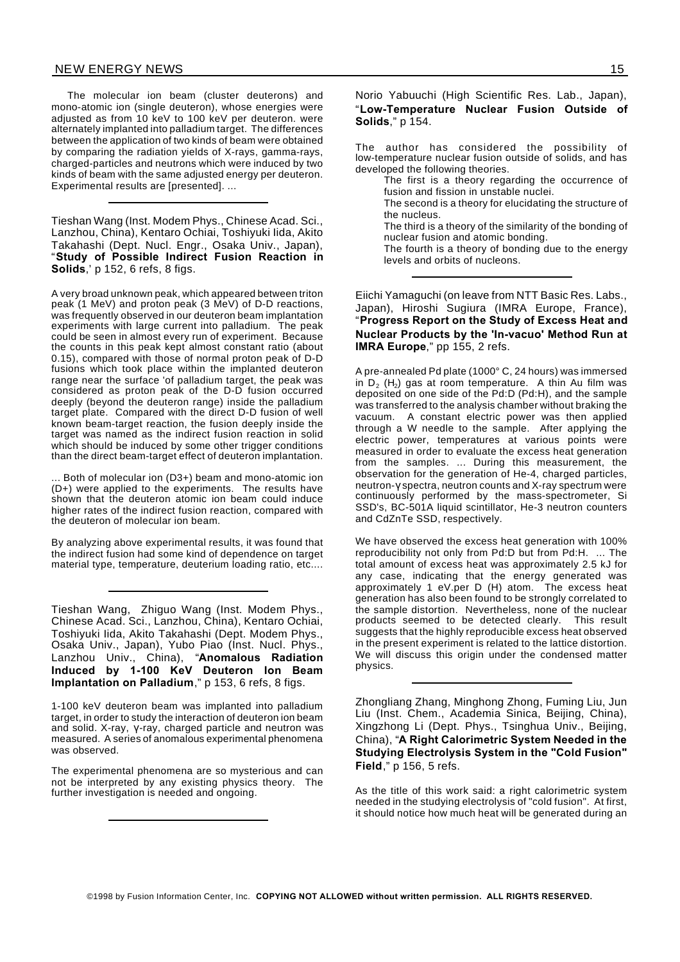#### NEW ENERGY NEWS 15

The molecular ion beam (cluster deuterons) and mono-atomic ion (single deuteron), whose energies were adjusted as from 10 keV to 100 keV per deuteron. were alternately implanted into palladium target. The differences between the application of two kinds of beam were obtained by comparing the radiation yields of X-rays, gamma-rays, charged-particles and neutrons which were induced by two kinds of beam with the same adjusted energy per deuteron. Experimental results are [presented]. ...

Tieshan Wang (Inst. Modem Phys., Chinese Acad. Sci., Lanzhou, China), Kentaro Ochiai, Toshiyuki Iida, Akito Takahashi (Dept. Nucl. Engr., Osaka Univ., Japan), "**Study of Possible Indirect Fusion Reaction in Solids**,' p 152, 6 refs, 8 figs.

A very broad unknown peak, which appeared between triton peak (1 MeV) and proton peak (3 MeV) of D-D reactions, was frequently observed in our deuteron beam implantation experiments with large current into palladium. The peak could be seen in almost every run of experiment. Because the counts in this peak kept almost constant ratio (about 0.15), compared with those of normal proton peak of D-D fusions which took place within the implanted deuteron range near the surface 'of palladium target, the peak was considered as proton peak of the D-D fusion occurred deeply (beyond the deuteron range) inside the palladium target plate. Compared with the direct D-D fusion of well known beam-target reaction, the fusion deeply inside the target was named as the indirect fusion reaction in solid which should be induced by some other trigger conditions than the direct beam-target effect of deuteron implantation.

... Both of molecular ion (D3+) beam and mono-atomic ion (D+) were applied to the experiments. The results have shown that the deuteron atomic ion beam could induce higher rates of the indirect fusion reaction, compared with the deuteron of molecular ion beam.

By analyzing above experimental results, it was found that the indirect fusion had some kind of dependence on target material type, temperature, deuterium loading ratio, etc....

Tieshan Wang, Zhiguo Wang (Inst. Modem Phys., Chinese Acad. Sci., Lanzhou, China), Kentaro Ochiai, Toshiyuki Iida, Akito Takahashi (Dept. Modem Phys., Osaka Univ., Japan), Yubo Piao (Inst. Nucl. Phys., Lanzhou Univ., China), "**Anomalous Radiation Induced by 1-100 KeV Deuteron Ion Beam Implantation on Palladium**," p 153, 6 refs, 8 figs.

1-100 keV deuteron beam was implanted into palladium target, in order to study the interaction of deuteron ion beam and solid. X-ray,  $y$ -ray, charged particle and neutron was measured. A series of anomalous experimental phenomena was observed.

The experimental phenomena are so mysterious and can not be interpreted by any existing physics theory. The further investigation is needed and ongoing.

Norio Yabuuchi (High Scientific Res. Lab., Japan), "**Low-Temperature Nuclear Fusion Outside of Solids**," p 154.

The author has considered the possibility of low-temperature nuclear fusion outside of solids, and has developed the following theories.

The first is a theory regarding the occurrence of fusion and fission in unstable nuclei.

The second is a theory for elucidating the structure of the nucleus.

The third is a theory of the similarity of the bonding of nuclear fusion and atomic bonding.

The fourth is a theory of bonding due to the energy levels and orbits of nucleons.

Eiichi Yamaguchi (on leave from NTT Basic Res. Labs., Japan), Hiroshi Sugiura (IMRA Europe, France), "**Progress Report on the Study of Excess Heat and Nuclear Products by the 'In-vacuo' Method Run at IMRA Europe**," pp 155, 2 refs.

A pre-annealed Pd plate (1000° C, 24 hours) was immersed in D<sub>2</sub> (H<sub>2</sub>) gas at room temperature. A thin Au film was deposited on one side of the Pd:D (Pd:H), and the sample was transferred to the analysis chamber without braking the vacuum. A constant electric power was then applied through a W needle to the sample. After applying the electric power, temperatures at various points were measured in order to evaluate the excess heat generation from the samples. ... During this measurement, the observation for the generation of He-4, charged particles, neutron-y spectra, neutron counts and X-ray spectrum were continuously performed by the mass-spectrometer, Si SSD's, BC-501A liquid scintillator, He-3 neutron counters and CdZnTe SSD, respectively.

We have observed the excess heat generation with 100% reproducibility not only from Pd:D but from Pd:H. ... The total amount of excess heat was approximately 2.5 kJ for any case, indicating that the energy generated was approximately 1 eV.per D (H) atom. The excess heat generation has also been found to be strongly correlated to the sample distortion. Nevertheless, none of the nuclear products seemed to be detected clearly. This result suggests that the highly reproducible excess heat observed in the present experiment is related to the lattice distortion. We will discuss this origin under the condensed matter physics.

Zhongliang Zhang, Minghong Zhong, Fuming Liu, Jun Liu (Inst. Chem., Academia Sinica, Beijing, China), Xingzhong Li (Dept. Phys., Tsinghua Univ., Beijing, China), "**A Right Calorimetric System Needed in the Studying Electrolysis System in the "Cold Fusion" Field**," p 156, 5 refs.

As the title of this work said: a right calorimetric system needed in the studying electrolysis of "cold fusion". At first, it should notice how much heat will be generated during an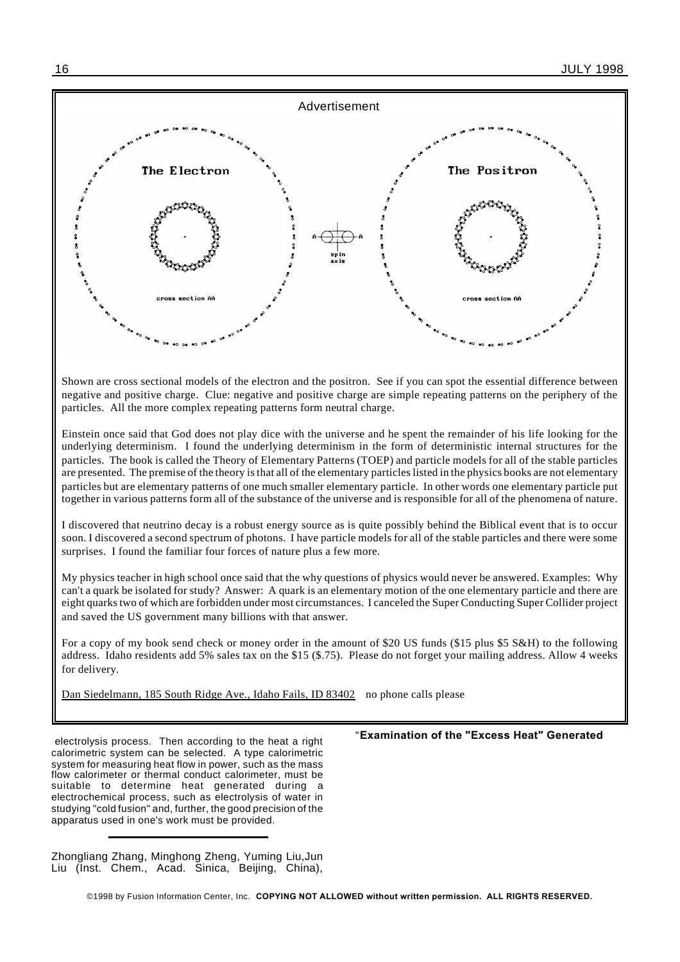

Shown are cross sectional models of the electron and the positron. See if you can spot the essential difference between negative and positive charge. Clue: negative and positive charge are simple repeating patterns on the periphery of the particles. All the more complex repeating patterns form neutral charge.

Einstein once said that God does not play dice with the universe and he spent the remainder of his life looking for the underlying determinism. I found the underlying determinism in the form of deterministic internal structures for the particles. The book is called the Theory of Elementary Patterns (TOEP) and particle models for all of the stable particles are presented. The premise of the theory is that all of the elementary particles listed in the physics books are not elementary particles but are elementary patterns of one much smaller elementary particle. In other words one elementary particle put together in various patterns form all of the substance of the universe and is responsible for all of the phenomena of nature.

I discovered that neutrino decay is a robust energy source as is quite possibly behind the Biblical event that is to occur soon. I discovered a second spectrum of photons. I have particle models for all of the stable particles and there were some surprises. I found the familiar four forces of nature plus a few more.

My physics teacher in high school once said that the why questions of physics would never be answered. Examples: Why can't a quark be isolated for study? Answer: A quark is an elementary motion of the one elementary particle and there are eight quarks two of which are forbidden under most circumstances. I canceled the Super Conducting Super Collider project and saved the US government many billions with that answer.

For a copy of my book send check or money order in the amount of \$20 US funds (\$15 plus \$5 S&H) to the following address. Idaho residents add 5% sales tax on the \$15 (\$.75). Please do not forget your mailing address. Allow 4 weeks for delivery.

Dan Siedelmann, 185 South Ridge Ave., Idaho Fails, ID 83402 no phone calls please

electrolysis process. Then according to the heat a right calorimetric system can be selected. A type calorimetric system for measuring heat flow in power, such as the mass flow calorimeter or thermal conduct calorimeter, must be suitable to determine heat generated during a electrochemical process, such as electrolysis of water in studying "cold fusion" and, further, the good precision of the apparatus used in one's work must be provided.

Zhongliang Zhang, Minghong Zheng, Yuming Liu,Jun Liu (Inst. Chem., Acad. Sinica, Beijing, China),

#### "**Examination of the "Excess Heat" Generated**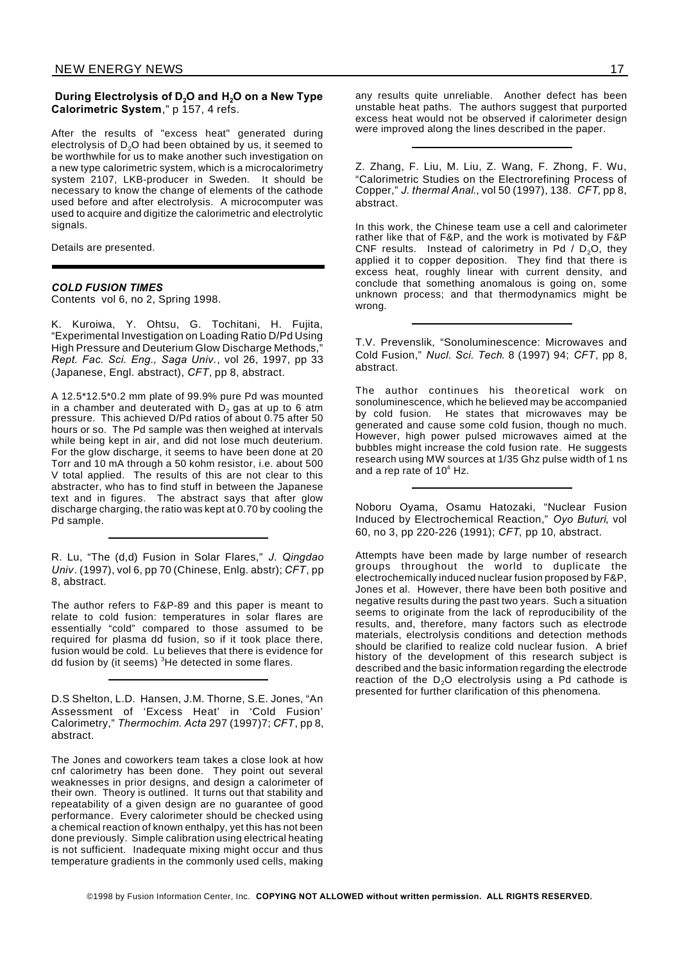#### **During Electrolysis of D2O and H2O on a New Type Calorimetric System**," p 157, 4 refs.

After the results of "excess heat" generated during electrolysis of  $D_2O$  had been obtained by us, it seemed to be worthwhile for us to make another such investigation on a new type calorimetric system, which is a microcalorimetry system 2107, LKB-producer in Sweden. It should be necessary to know the change of elements of the cathode used before and after electrolysis. A microcomputer was used to acquire and digitize the calorimetric and electrolytic signals.

Details are presented.

#### *COLD FUSION TIMES*

Contents vol 6, no 2, Spring 1998.

K. Kuroiwa, Y. Ohtsu, G. Tochitani, H. Fujita, "Experimental Investigation on Loading Ratio D/Pd Using High Pressure and Deuterium Glow Discharge Methods," *Rept. Fac. Sci. Eng., Saga Univ.*, vol 26, 1997, pp 33 (Japanese, Engl. abstract), *CFT*, pp 8, abstract.

A 12.5\*12.5\*0.2 mm plate of 99.9% pure Pd was mounted in a chamber and deuterated with  $D_2$  gas at up to 6 atm pressure. This achieved D/Pd ratios of about 0.75 after 50 hours or so. The Pd sample was then weighed at intervals while being kept in air, and did not lose much deuterium. For the glow discharge, it seems to have been done at 20 Torr and 10 mA through a 50 kohm resistor, i.e. about 500 V total applied. The results of this are not clear to this abstracter, who has to find stuff in between the Japanese text and in figures. The abstract says that after glow discharge charging, the ratio was kept at 0.70 by cooling the Pd sample.

R. Lu, "The (d,d) Fusion in Solar Flares," *J. Qingdao Univ*. (1997), vol 6, pp 70 (Chinese, Enlg. abstr); *CFT*, pp 8, abstract.

The author refers to F&P-89 and this paper is meant to relate to cold fusion: temperatures in solar flares are essentially "cold" compared to those assumed to be required for plasma dd fusion, so if it took place there, fusion would be cold. Lu believes that there is evidence for dd fusion by (it seems)  ${}^{3}$ He detected in some flares.

D.S Shelton, L.D. Hansen, J.M. Thorne, S.E. Jones, "An Assessment of 'Excess Heat' in 'Cold Fusion' Calorimetry," *Thermochim. Acta* 297 (1997)7; *CFT*, pp 8, abstract.

The Jones and coworkers team takes a close look at how cnf calorimetry has been done. They point out several weaknesses in prior designs, and design a calorimeter of their own. Theory is outlined. It turns out that stability and repeatability of a given design are no guarantee of good performance. Every calorimeter should be checked using a chemical reaction of known enthalpy, yet this has not been done previously. Simple calibration using electrical heating is not sufficient. Inadequate mixing might occur and thus temperature gradients in the commonly used cells, making

any results quite unreliable. Another defect has been unstable heat paths. The authors suggest that purported excess heat would not be observed if calorimeter design were improved along the lines described in the paper.

Z. Zhang, F. Liu, M. Liu, Z. Wang, F. Zhong, F. Wu, "Calorimetric Studies on the Electrorefining Process of Copper," *J. thermal Anal*., vol 50 (1997), 138. *CFT*, pp 8, abstract.

In this work, the Chinese team use a cell and calorimeter rather like that of F&P, and the work is motivated by F&P CNF results. Instead of calorimetry in Pd  $/$  D<sub>2</sub>O, they applied it to copper deposition. They find that there is excess heat, roughly linear with current density, and conclude that something anomalous is going on, some unknown process; and that thermodynamics might be wrong.

T.V. Prevenslik, "Sonoluminescence: Microwaves and Cold Fusion," *Nucl. Sci. Tech*. 8 (1997) 94; *CFT*, pp 8, abstract.

The author continues his theoretical work on sonoluminescence, which he believed may be accompanied by cold fusion. He states that microwaves may be generated and cause some cold fusion, though no much. However, high power pulsed microwaves aimed at the bubbles might increase the cold fusion rate. He suggests research using MW sources at 1/35 Ghz pulse width of 1 ns and a rep rate of  $10^4$  Hz.

Noboru Oyama, Osamu Hatozaki, "Nuclear Fusion Induced by Electrochemical Reaction," *Oyo Buturi*, vol 60, no 3, pp 220-226 (1991); *CFT*, pp 10, abstract.

Attempts have been made by large number of research groups throughout the world to duplicate the electrochemically induced nuclear fusion proposed by F&P, Jones et al. However, there have been both positive and negative results during the past two years. Such a situation seems to originate from the lack of reproducibility of the results, and, therefore, many factors such as electrode materials, electrolysis conditions and detection methods should be clarified to realize cold nuclear fusion. A brief history of the development of this research subject is described and the basic information regarding the electrode reaction of the  $D_2O$  electrolysis using a Pd cathode is presented for further clarification of this phenomena.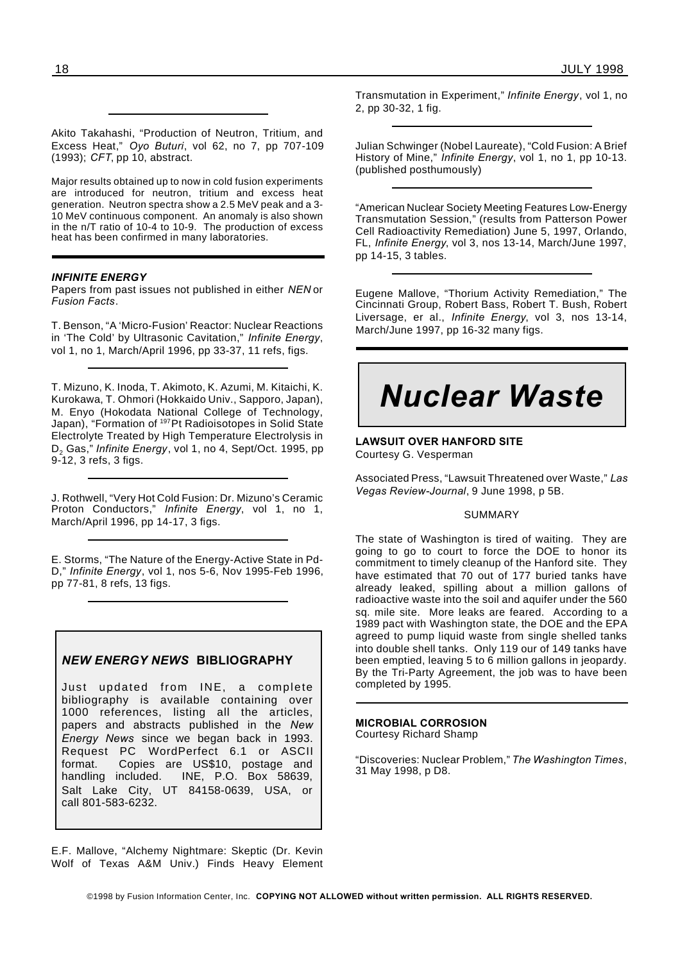Akito Takahashi, "Production of Neutron, Tritium, and Excess Heat," *Oyo Buturi*, vol 62, no 7, pp 707-109 (1993); *CFT*, pp 10, abstract.

Major results obtained up to now in cold fusion experiments are introduced for neutron, tritium and excess heat generation. Neutron spectra show a 2.5 MeV peak and a 3- 10 MeV continuous component. An anomaly is also shown in the n/T ratio of 10-4 to 10-9. The production of excess heat has been confirmed in many laboratories.

#### *INFINITE ENERGY*

Papers from past issues not published in either *NEN* or *Fusion Facts*.

T. Benson, "A 'Micro-Fusion' Reactor: Nuclear Reactions in 'The Cold' by Ultrasonic Cavitation," *Infinite Energy*, vol 1, no 1, March/April 1996, pp 33-37, 11 refs, figs.

T. Mizuno, K. Inoda, T. Akimoto, K. Azumi, M. Kitaichi, K. Kurokawa, T. Ohmori (Hokkaido Univ., Sapporo, Japan), M. Enyo (Hokodata National College of Technology, Japan), "Formation of <sup>197</sup>Pt Radioisotopes in Solid State Electrolyte Treated by High Temperature Electrolysis in D<sup>2</sup> Gas," *Infinite Energy*, vol 1, no 4, Sept/Oct. 1995, pp 9-12, 3 refs, 3 figs.

J. Rothwell, "Very Hot Cold Fusion: Dr. Mizuno's Ceramic Proton Conductors," *Infinite Energy*, vol 1, no 1, March/April 1996, pp 14-17, 3 figs.

E. Storms, "The Nature of the Energy-Active State in Pd-D," *Infinite Energy*, vol 1, nos 5-6, Nov 1995-Feb 1996, pp 77-81, 8 refs, 13 figs.

#### *NEW ENERGY NEWS* **BIBLIOGRAPHY**

Just updated from INE, a complete bibliography is available containing over 1000 references, listing all the articles, papers and abstracts published in the *New Energy News* since we began back in 1993. Request PC WordPerfect 6.1 or ASCII format. Copies are US\$10, postage and handling included. INE, P.O. Box 58639, Salt Lake City, UT 84158-0639, USA, or call 801-583-6232.

E.F. Mallove, "Alchemy Nightmare: Skeptic (Dr. Kevin Wolf of Texas A&M Univ.) Finds Heavy Element Transmutation in Experiment," *Infinite Energy*, vol 1, no 2, pp 30-32, 1 fig.

Julian Schwinger (Nobel Laureate), "Cold Fusion: A Brief History of Mine," *Infinite Energy*, vol 1, no 1, pp 10-13. (published posthumously)

"American Nuclear Society Meeting Features Low-Energy Transmutation Session," (results from Patterson Power Cell Radioactivity Remediation) June 5, 1997, Orlando, FL, *Infinite Energy*, vol 3, nos 13-14, March/June 1997, pp 14-15, 3 tables.

Eugene Mallove, "Thorium Activity Remediation," The Cincinnati Group, Robert Bass, Robert T. Bush, Robert Liversage, er al., *Infinite Energy*, vol 3, nos 13-14, March/June 1997, pp 16-32 many figs.

# *Nuclear Waste*

**LAWSUIT OVER HANFORD SITE** Courtesy G. Vesperman

Associated Press, "Lawsuit Threatened over Waste," *Las Vegas Review-Journal*, 9 June 1998, p 5B.

#### SUMMARY

The state of Washington is tired of waiting. They are going to go to court to force the DOE to honor its commitment to timely cleanup of the Hanford site. They have estimated that 70 out of 177 buried tanks have already leaked, spilling about a million gallons of radioactive waste into the soil and aquifer under the 560 sq. mile site. More leaks are feared. According to a 1989 pact with Washington state, the DOE and the EPA agreed to pump liquid waste from single shelled tanks into double shell tanks. Only 119 our of 149 tanks have been emptied, leaving 5 to 6 million gallons in jeopardy. By the Tri-Party Agreement, the job was to have been completed by 1995.

**MICROBIAL CORROSION** Courtesy Richard Shamp

"Discoveries: Nuclear Problem," *The Washington Times*, 31 May 1998, p D8.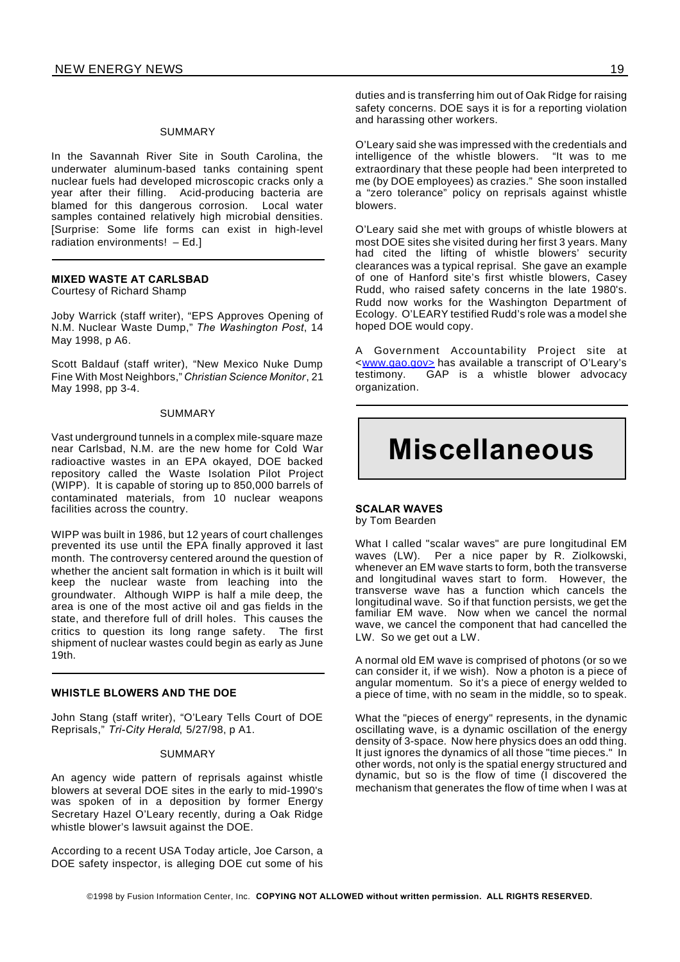#### SUMMARY

In the Savannah River Site in South Carolina, the underwater aluminum-based tanks containing spent nuclear fuels had developed microscopic cracks only a year after their filling. Acid-producing bacteria are blamed for this dangerous corrosion. Local water samples contained relatively high microbial densities. [Surprise: Some life forms can exist in high-level radiation environments! – Ed.]

### **MIXED WASTE AT CARLSBAD**

Courtesy of Richard Shamp

Joby Warrick (staff writer), "EPS Approves Opening of N.M. Nuclear Waste Dump," *The Washington Post*, 14 May 1998, p A6.

Scott Baldauf (staff writer), "New Mexico Nuke Dump Fine With Most Neighbors," *Christian Science Monitor*, 21 May 1998, pp 3-4.

#### SUMMARY

Vast underground tunnels in a complex mile-square maze near Carlsbad, N.M. are the new home for Cold War radioactive wastes in an EPA okayed, DOE backed repository called the Waste Isolation Pilot Project (WIPP). It is capable of storing up to 850,000 barrels of contaminated materials, from 10 nuclear weapons facilities across the country.

WIPP was built in 1986, but 12 years of court challenges prevented its use until the EPA finally approved it last month. The controversy centered around the question of whether the ancient salt formation in which is it built will keep the nuclear waste from leaching into the groundwater. Although WIPP is half a mile deep, the area is one of the most active oil and gas fields in the state, and therefore full of drill holes. This causes the critics to question its long range safety. The first shipment of nuclear wastes could begin as early as June 19th.

#### **WHISTLE BLOWERS AND THE DOE**

John Stang (staff writer), "O'Leary Tells Court of DOE Reprisals," *Tri-City Herald*, 5/27/98, p A1.

#### SUMMARY

An agency wide pattern of reprisals against whistle blowers at several DOE sites in the early to mid-1990's was spoken of in a deposition by former Energy Secretary Hazel O'Leary recently, during a Oak Ridge whistle blower's lawsuit against the DOE.

According to a recent USA Today article, Joe Carson, a DOE safety inspector, is alleging DOE cut some of his duties and is transferring him out of Oak Ridge for raising safety concerns. DOE says it is for a reporting violation and harassing other workers.

O'Leary said she was impressed with the credentials and intelligence of the whistle blowers. "It was to me extraordinary that these people had been interpreted to me (by DOE employees) as crazies." She soon installed a "zero tolerance" policy on reprisals against whistle blowers.

O'Leary said she met with groups of whistle blowers at most DOE sites she visited during her first 3 years. Many had cited the lifting of whistle blowers' security clearances was a typical reprisal. She gave an example of one of Hanford site's first whistle blowers, Casey Rudd, who raised safety concerns in the late 1980's. Rudd now works for the Washington Department of Ecology. O'LEARY testified Rudd's role was a model she hoped DOE would copy.

A Government Accountability Project site at <www.gao.gov> has available a transcript of O'Leary's testimony. GAP is a whistle blower advocacy organization.

### **Miscellaneous**

#### **SCALAR WAVES** by Tom Bearden

What I called "scalar waves" are pure longitudinal EM waves (LW). Per a nice paper by R. Ziolkowski, whenever an EM wave starts to form, both the transverse and longitudinal waves start to form. However, the transverse wave has a function which cancels the longitudinal wave. So if that function persists, we get the familiar EM wave. Now when we cancel the normal wave, we cancel the component that had cancelled the LW. So we get out a LW.

A normal old EM wave is comprised of photons (or so we can consider it, if we wish). Now a photon is a piece of angular momentum. So it's a piece of energy welded to a piece of time, with no seam in the middle, so to speak.

What the "pieces of energy" represents, in the dynamic oscillating wave, is a dynamic oscillation of the energy density of 3-space. Now here physics does an odd thing. It just ignores the dynamics of all those "time pieces." In other words, not only is the spatial energy structured and dynamic, but so is the flow of time (I discovered the mechanism that generates the flow of time when I was at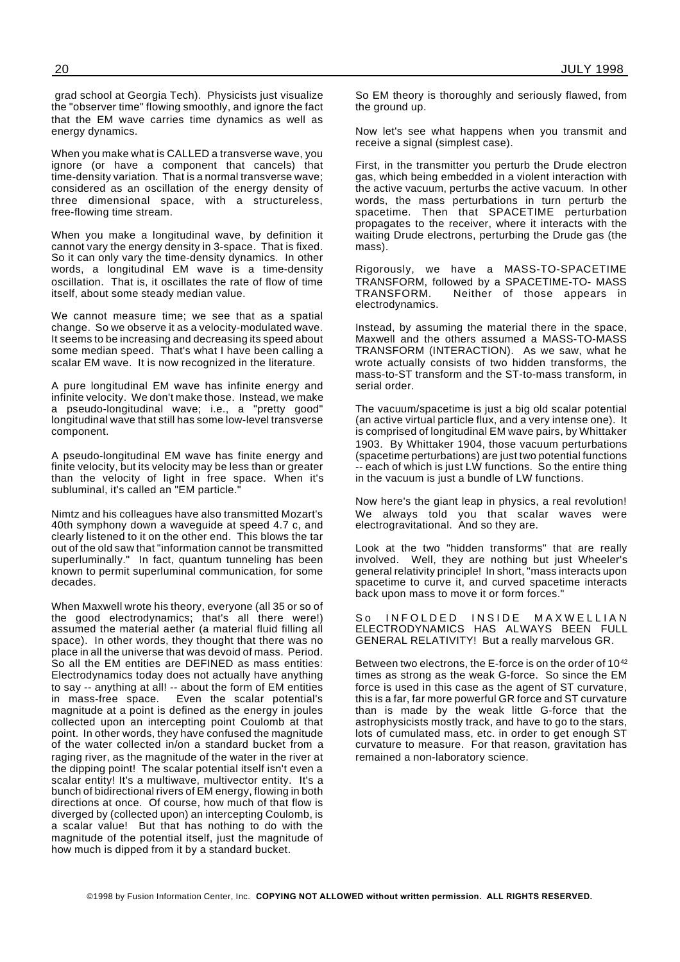grad school at Georgia Tech). Physicists just visualize the "observer time" flowing smoothly, and ignore the fact that the EM wave carries time dynamics as well as energy dynamics.

When you make what is CALLED a transverse wave, you ignore (or have a component that cancels) that time-density variation. That is a normal transverse wave; considered as an oscillation of the energy density of three dimensional space, with a structureless, free-flowing time stream.

When you make a longitudinal wave, by definition it cannot vary the energy density in 3-space. That is fixed. So it can only vary the time-density dynamics. In other words, a longitudinal EM wave is a time-density oscillation. That is, it oscillates the rate of flow of time itself, about some steady median value.

We cannot measure time; we see that as a spatial change. So we observe it as a velocity-modulated wave. It seems to be increasing and decreasing its speed about some median speed. That's what I have been calling a scalar EM wave. It is now recognized in the literature.

A pure longitudinal EM wave has infinite energy and infinite velocity. We don't make those. Instead, we make a pseudo-longitudinal wave; i.e., a "pretty good" longitudinal wave that still has some low-level transverse component.

A pseudo-longitudinal EM wave has finite energy and finite velocity, but its velocity may be less than or greater than the velocity of light in free space. When it's subluminal, it's called an "EM particle."

Nimtz and his colleagues have also transmitted Mozart's 40th symphony down a waveguide at speed 4.7 c, and clearly listened to it on the other end. This blows the tar out of the old saw that "information cannot be transmitted superluminally." In fact, quantum tunneling has been known to permit superluminal communication, for some decades.

When Maxwell wrote his theory, everyone (all 35 or so of the good electrodynamics; that's all there were!) assumed the material aether (a material fluid filling all space). In other words, they thought that there was no place in all the universe that was devoid of mass. Period. So all the EM entities are DEFINED as mass entities: Electrodynamics today does not actually have anything to say -- anything at all! -- about the form of EM entities<br>in mass-free space. Even the scalar potential's Even the scalar potential's magnitude at a point is defined as the energy in joules collected upon an intercepting point Coulomb at that point. In other words, they have confused the magnitude of the water collected in/on a standard bucket from a raging river, as the magnitude of the water in the river at the dipping point! The scalar potential itself isn't even a scalar entity! It's a multiwave, multivector entity. It's a bunch of bidirectional rivers of EM energy, flowing in both directions at once. Of course, how much of that flow is diverged by (collected upon) an intercepting Coulomb, is a scalar value! But that has nothing to do with the magnitude of the potential itself, just the magnitude of how much is dipped from it by a standard bucket.

So EM theory is thoroughly and seriously flawed, from the ground up.

Now let's see what happens when you transmit and receive a signal (simplest case).

First, in the transmitter you perturb the Drude electron gas, which being embedded in a violent interaction with the active vacuum, perturbs the active vacuum. In other words, the mass perturbations in turn perturb the spacetime. Then that SPACETIME perturbation propagates to the receiver, where it interacts with the waiting Drude electrons, perturbing the Drude gas (the mass).

Rigorously, we have a MASS-TO-SPACETIME TRANSFORM, followed by a SPACETIME-TO- MASS TRANSFORM. Neither of those appears in electrodynamics.

Instead, by assuming the material there in the space, Maxwell and the others assumed a MASS-TO-MASS TRANSFORM (INTERACTION). As we saw, what he wrote actually consists of two hidden transforms, the mass-to-ST transform and the ST-to-mass transform, in serial order.

The vacuum/spacetime is just a big old scalar potential (an active virtual particle flux, and a very intense one). It is comprised of longitudinal EM wave pairs, by Whittaker 1903. By Whittaker 1904, those vacuum perturbations (spacetime perturbations) are just two potential functions -- each of which is just LW functions. So the entire thing in the vacuum is just a bundle of LW functions.

Now here's the giant leap in physics, a real revolution! We always told you that scalar waves were electrogravitational. And so they are.

Look at the two "hidden transforms" that are really involved. Well, they are nothing but just Wheeler's general relativity principle! In short, "mass interacts upon spacetime to curve it, and curved spacetime interacts back upon mass to move it or form forces."

So INFOLDED INSIDE MAXWELLIAN ELECTRODYNAMICS HAS ALWAYS BEEN FULL GENERAL RELATIVITY! But a really marvelous GR.

Between two electrons, the E-force is on the order of 10<sup>42</sup> times as strong as the weak G-force. So since the EM force is used in this case as the agent of ST curvature, this is a far, far more powerful GR force and ST curvature than is made by the weak little G-force that the astrophysicists mostly track, and have to go to the stars, lots of cumulated mass, etc. in order to get enough ST curvature to measure. For that reason, gravitation has remained a non-laboratory science.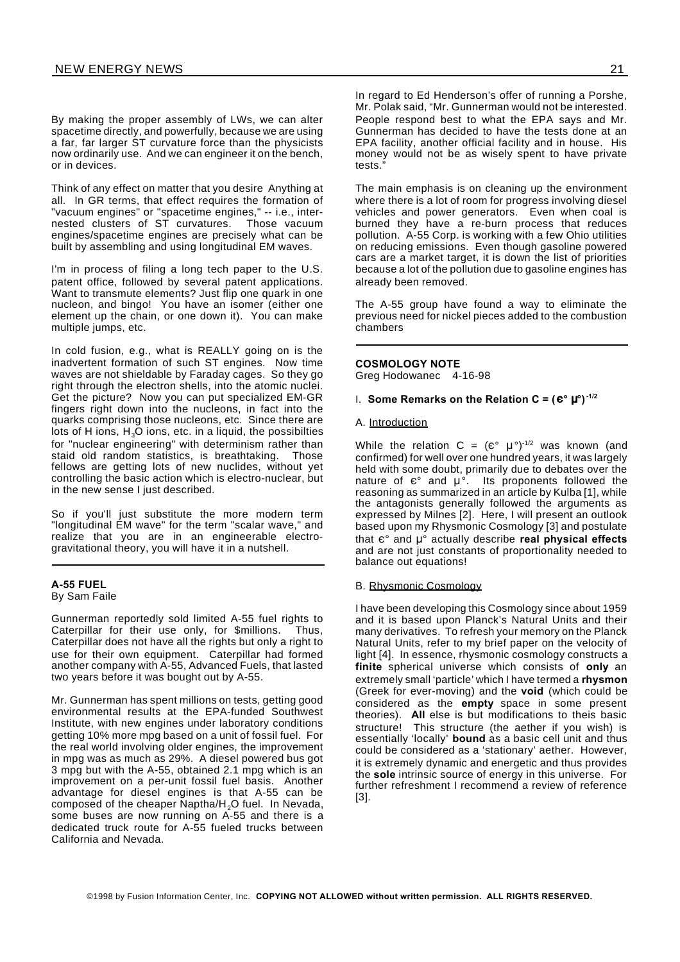By making the proper assembly of LWs, we can alter spacetime directly, and powerfully, because we are using a far, far larger ST curvature force than the physicists now ordinarily use. And we can engineer it on the bench, or in devices.

Think of any effect on matter that you desire Anything at all. In GR terms, that effect requires the formation of "vacuum engines" or "spacetime engines," -- i.e., internested clusters of ST curvatures. Those vacuum engines/spacetime engines are precisely what can be built by assembling and using longitudinal EM waves.

I'm in process of filing a long tech paper to the U.S. patent office, followed by several patent applications. Want to transmute elements? Just flip one quark in one nucleon, and bingo! You have an isomer (either one element up the chain, or one down it). You can make multiple jumps, etc.

In cold fusion, e.g., what is REALLY going on is the inadvertent formation of such ST engines. Now time waves are not shieldable by Faraday cages. So they go right through the electron shells, into the atomic nuclei. Get the picture? Now you can put specialized EM-GR fingers right down into the nucleons, in fact into the quarks comprising those nucleons, etc. Since there are lots of H ions,  $H_3O$  ions, etc. in a liquid, the possibilties for "nuclear engineering" with determinism rather than staid old random statistics, is breathtaking. Those fellows are getting lots of new nuclides, without yet controlling the basic action which is electro-nuclear, but in the new sense I just described.

So if you'll just substitute the more modern term "longitudinal EM wave" for the term "scalar wave," and realize that you are in an engineerable electrogravitational theory, you will have it in a nutshell.

#### **A-55 FUEL** By Sam Faile

Gunnerman reportedly sold limited A-55 fuel rights to Caterpillar for their use only, for \$millions. Thus, Caterpillar does not have all the rights but only a right to use for their own equipment. Caterpillar had formed another company with A-55, Advanced Fuels, that lasted two years before it was bought out by A-55.

Mr. Gunnerman has spent millions on tests, getting good environmental results at the EPA-funded Southwest Institute, with new engines under laboratory conditions getting 10% more mpg based on a unit of fossil fuel. For the real world involving older engines, the improvement in mpg was as much as 29%. A diesel powered bus got 3 mpg but with the A-55, obtained 2.1 mpg which is an improvement on a per-unit fossil fuel basis. Another advantage for diesel engines is that A-55 can be composed of the cheaper Naptha/H<sub>2</sub>O fuel. In Nevada, some buses are now running on A-55 and there is a dedicated truck route for A-55 fueled trucks between California and Nevada.

In regard to Ed Henderson's offer of running a Porshe, Mr. Polak said, "Mr. Gunnerman would not be interested. People respond best to what the EPA says and Mr. Gunnerman has decided to have the tests done at an EPA facility, another official facility and in house. His money would not be as wisely spent to have private tests."

The main emphasis is on cleaning up the environment where there is a lot of room for progress involving diesel vehicles and power generators. Even when coal is burned they have a re-burn process that reduces pollution. A-55 Corp. is working with a few Ohio utilities on reducing emissions. Even though gasoline powered cars are a market target, it is down the list of priorities because a lot of the pollution due to gasoline engines has already been removed.

The A-55 group have found a way to eliminate the previous need for nickel pieces added to the combustion chambers

#### **COSMOLOGY NOTE**

Greg Hodowanec 4-16-98

#### 1. Some Remarks on the Relation  $C = (C^{\circ} \mu^{\circ})^{-1/2}$

#### A. Introduction

While the relation  $C = (e^{\circ} \mu^{\circ})^{-1/2}$  was known (and confirmed) for well over one hundred years, it was largely held with some doubt, primarily due to debates over the nature of  $\varepsilon$ ° and  $\mu$ °. Its proponents followed the reasoning as summarized in an article by Kulba [1], while the antagonists generally followed the arguments as expressed by Milnes [2]. Here, I will present an outlook based upon my Rhysmonic Cosmology [3] and postulate that  $\varepsilon$ ° and  $\mu$ ° actually describe **real physical effects** and are not just constants of proportionality needed to balance out equations!

#### B. Rhysmonic Cosmology

I have been developing this Cosmology since about 1959 and it is based upon Planck's Natural Units and their many derivatives. To refresh your memory on the Planck Natural Units, refer to my brief paper on the velocity of light [4]. In essence, rhysmonic cosmology constructs a **finite** spherical universe which consists of **only** an extremely small 'particle' which I have termed a **rhysmon** (Greek for ever-moving) and the **void** (which could be considered as the **empty** space in some present theories). **All** else is but modifications to theis basic structure! This structure (the aether if you wish) is essentially 'locally' **bound** as a basic cell unit and thus could be considered as a 'stationary' aether. However, it is extremely dynamic and energetic and thus provides the **sole** intrinsic source of energy in this universe. For further refreshment I recommend a review of reference [3].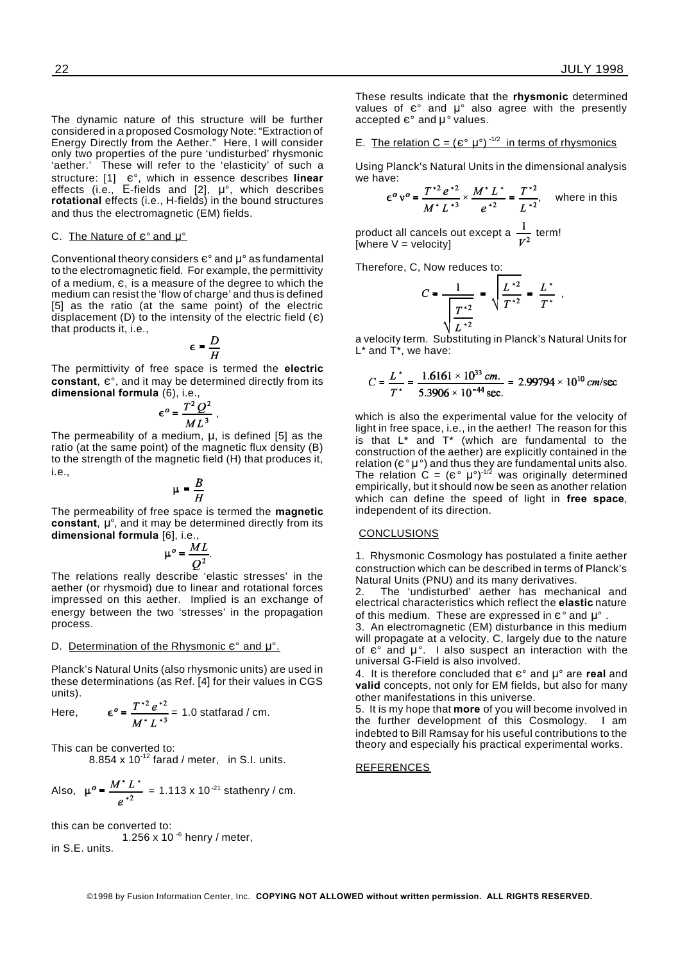,

The dynamic nature of this structure will be further considered in a proposed Cosmology Note: "Extraction of Energy Directly from the Aether." Here, I will consider only two properties of the pure 'undisturbed' rhysmonic 'aether.' These will refer to the 'elasticity' of such a structure: [1]  $e^{\circ}$ , which in essence describes **linear** effects (i.e., E-fields and [2],  $\mu^{\circ}$ , which describes **rotational** effects (i.e., H-fields) in the bound structures and thus the electromagnetic (EM) fields.

#### C. The Nature of  $e^{\circ}$  and  $\mu^{\circ}$

Conventional theory considers  $e^{\circ}$  and  $\mu^{\circ}$  as fundamental to the electromagnetic field. For example, the permittivity of a medium,  $\varepsilon$ , is a measure of the degree to which the medium can resist the 'flow of charge' and thus is defined [5] as the ratio (at the same point) of the electric displacement (D) to the intensity of the electric field  $(e)$ that products it, i.e.,

$$
\epsilon = \frac{D}{H}
$$

,

The permittivity of free space is termed the **electric** constant,  $e^{\circ}$ , and it may be determined directly from its **dimensional formula** (6), i.e.,

$$
\epsilon^o = \frac{T^2 Q^2}{ML^3}
$$

The permeability of a medium, **u**, is defined [5] as the ratio (at the same point) of the magnetic flux density (B) to the strength of the magnetic field (H) that produces it, i.e.,

$$
\mu = \frac{B}{H}
$$

The permeability of free space is termed the **magnetic** constant,  $\mu^{\circ}$ , and it may be determined directly from its **dimensional formula** [6], i.e.,

$$
\mu^o = \frac{ML}{Q^2}.
$$

The relations really describe 'elastic stresses' in the aether (or rhysmoid) due to linear and rotational forces impressed on this aether. Implied is an exchange of energy between the two 'stresses' in the propagation process.

#### D. Determination of the Rhysmonic  $\varepsilon$ ° and  $\mu$ °.

Planck's Natural Units (also rhysmonic units) are used in these determinations (as Ref. [4] for their values in CGS units).

Here, 
$$
\epsilon^o = \frac{T^{*2} e^{*2}}{M^* L^{*3}} = 1.0
$$
 statfarad / cm.

This can be converted to:

8.854 x  $10^{-12}$  farad / meter, in S.I. units.

Also, 
$$
\mu^o = \frac{M^* L^*}{e^{*2}} = 1.113 \times 10^{-21}
$$
 stathenry / cm.

this can be converted to: 1.256 x 10 $-6$  henry / meter, in S.E. units.

These results indicate that the **rhysmonic** determined values of  $\varepsilon$ ° and  $\mu$ ° also agree with the presently accepted  $e^{\circ}$  and  $\mu^{\circ}$  values.

E. The relation  $C = (e^{\circ} \mu^{\circ})^{-1/2}$  in terms of rhysmonics

Using Planck's Natural Units in the dimensional analysis we have: and the state

$$
e^{\circ} v^{\circ} = \frac{T^{*2} e^{*2}}{M^{*} L^{*3}} \times \frac{M^{*} L^{*}}{e^{*2}} = \frac{T^{*2}}{L^{*2}},
$$
 where in this

product all cancels out except a  $\frac{1}{\sqrt{2}}$  term! [where V = velocity]

Therefore, C, Now reduces to:

$$
C = \frac{1}{\sqrt{\frac{T^{*2}}{L^{*2}}}} = \sqrt{\frac{L^{*2}}{T^{*2}}} = \frac{L^*}{T^*}
$$

a velocity term. Substituting in Planck's Natural Units for  $L^*$  and  $\overline{T}^*$ , we have:

$$
C = \frac{L^*}{T^*} = \frac{1.6161 \times 10^{33} \text{ cm.}}{5.3906 \times 10^{-44} \text{ sec.}} = 2.99794 \times 10^{10} \text{ cm/sec}
$$

which is also the experimental value for the velocity of light in free space, i.e., in the aether! The reason for this is that  $L^*$  and  $T^*$  (which are fundamental to the construction of the aether) are explicitly contained in the relation ( $\varepsilon^{\circ} \mu^{\circ}$ ) and thus they are fundamental units also. The relation  $\hat{C} = (e^{\circ} \mu^{\circ})^{1/2}$  was originally determined empirically, but it should now be seen as another relation which can define the speed of light in **free space**, independent of its direction.

#### **CONCLUSIONS**

1. Rhysmonic Cosmology has postulated a finite aether construction which can be described in terms of Planck's Natural Units (PNU) and its many derivatives.

2. The 'undisturbed' aether has mechanical and electrical characteristics which reflect the **elastic** nature of this medium. These are expressed in  $e^{\circ}$  and  $\mu^{\circ}$ 

3. An electromagnetic (EM) disturbance in this medium will propagate at a velocity, C, largely due to the nature of  $\varepsilon$ ° and  $\mu$ °. I also suspect an interaction with the universal G-Field is also involved.

4. It is therefore concluded that  $\varepsilon$ ° and  $\mu$ ° are **real** and **valid** concepts, not only for EM fields, but also for many other manifestations in this universe.

5. It is my hope that **more** of you will become involved in the further development of this Cosmology. I am indebted to Bill Ramsay for his useful contributions to the theory and especially his practical experimental works.

#### **REFERENCES**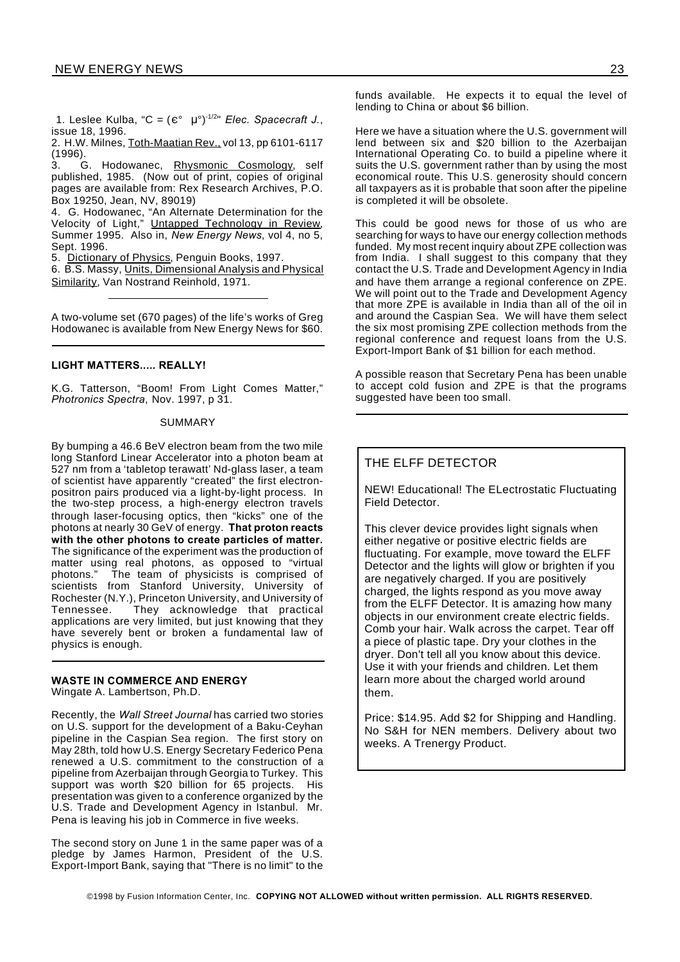1. Leslee Kulba, "C =  $(e^{\circ} \mu^{\circ})^{1/2}$ " *Elec. Spacecraft J.*, issue 18, 1996.

2. H.W. Milnes, Toth-Maatian Rev., vol 13, pp 6101-6117 (1996).

3. G. Hodowanec, Rhysmonic Cosmology, self published, 1985. (Now out of print, copies of original pages are available from: Rex Research Archives, P.O. Box 19250, Jean, NV, 89019)

4. G. Hodowanec, "An Alternate Determination for the Velocity of Light," Untapped Technology in Review, Summer 1995. Also in, *New Energy News*, vol 4, no 5, Sept. 1996.

5. Dictionary of Physics, Penguin Books, 1997.

6. B.S. Massy, Units, Dimensional Analysis and Physical Similarity, Van Nostrand Reinhold, 1971.

A two-volume set (670 pages) of the life's works of Greg Hodowanec is available from New Energy News for \$60.

#### **LIGHT MATTERS..... REALLY!**

K.G. Tatterson, "Boom! From Light Comes Matter," *Photronics Spectra*, Nov. 1997, p 31.

#### SUMMARY

By bumping a 46.6 BeV electron beam from the two mile long Stanford Linear Accelerator into a photon beam at 527 nm from a 'tabletop terawatt' Nd-glass laser, a team of scientist have apparently "created" the first electronpositron pairs produced via a light-by-light process. In the two-step process, a high-energy electron travels through laser-focusing optics, then "kicks" one of the photons at nearly 30 GeV of energy. **That proton reacts with the other photons to create particles of matter.** The significance of the experiment was the production of matter using real photons, as opposed to "virtual photons." The team of physicists is comprised of scientists from Stanford University, University of Rochester (N.Y.), Princeton University, and University of They acknowledge that practical applications are very limited, but just knowing that they have severely bent or broken a fundamental law of physics is enough.

#### **WASTE IN COMMERCE AND ENERGY**

Wingate A. Lambertson, Ph.D.

Recently, the *Wall Street Journal* has carried two stories on U.S. support for the development of a Baku-Ceyhan pipeline in the Caspian Sea region. The first story on May 28th, told how U.S. Energy Secretary Federico Pena renewed a U.S. commitment to the construction of a pipeline from Azerbaijan through Georgia to Turkey. This support was worth \$20 billion for 65 projects. His presentation was given to a conference organized by the U.S. Trade and Development Agency in Istanbul. Mr. Pena is leaving his job in Commerce in five weeks.

The second story on June 1 in the same paper was of a pledge by James Harmon, President of the U.S. Export-Import Bank, saying that "There is no limit" to the

funds available. He expects it to equal the level of lending to China or about \$6 billion.

Here we have a situation where the U.S. government will lend between six and \$20 billion to the Azerbaijan International Operating Co. to build a pipeline where it suits the U.S. government rather than by using the most economical route. This U.S. generosity should concern all taxpayers as it is probable that soon after the pipeline is completed it will be obsolete.

This could be good news for those of us who are searching for ways to have our energy collection methods funded. My most recent inquiry about ZPE collection was from India. I shall suggest to this company that they contact the U.S. Trade and Development Agency in India and have them arrange a regional conference on ZPE. We will point out to the Trade and Development Agency that more ZPE is available in India than all of the oil in and around the Caspian Sea. We will have them select the six most promising ZPE collection methods from the regional conference and request loans from the U.S. Export-Import Bank of \$1 billion for each method.

A possible reason that Secretary Pena has been unable to accept cold fusion and ZPE is that the programs suggested have been too small.

#### THE ELFF DETECTOR

NEW! Educational! The ELectrostatic Fluctuating Field Detector.

This clever device provides light signals when either negative or positive electric fields are fluctuating. For example, move toward the ELFF Detector and the lights will glow or brighten if you are negatively charged. If you are positively charged, the lights respond as you move away from the ELFF Detector. It is amazing how many objects in our environment create electric fields. Comb your hair. Walk across the carpet. Tear off a piece of plastic tape. Dry your clothes in the dryer. Don't tell all you know about this device. Use it with your friends and children. Let them learn more about the charged world around them.

Price: \$14.95. Add \$2 for Shipping and Handling. No S&H for NEN members. Delivery about two weeks. A Trenergy Product.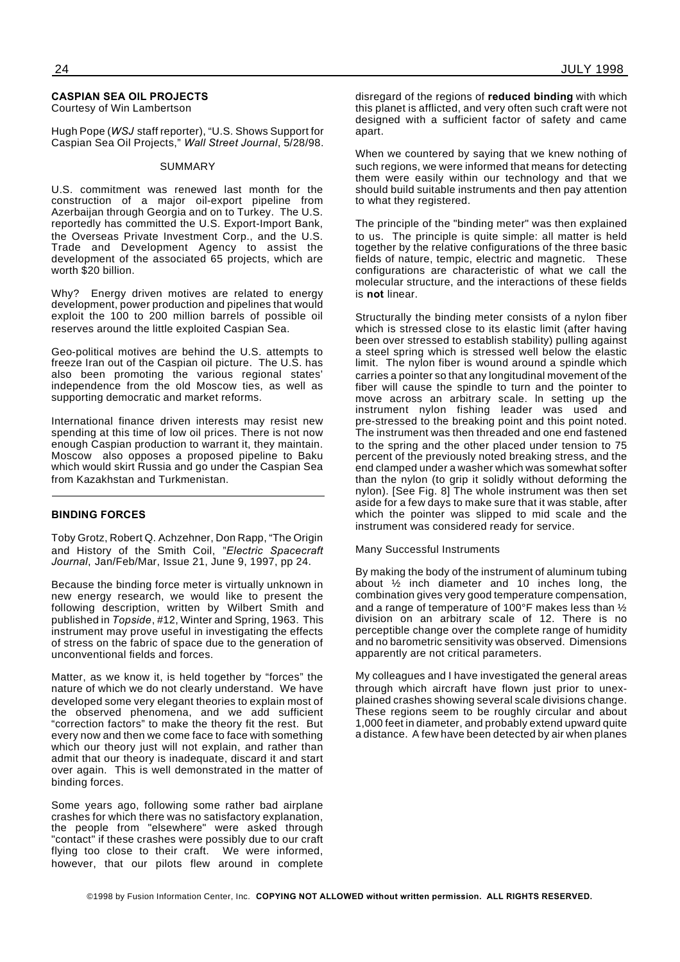#### **CASPIAN SEA OIL PROJECTS**

Courtesy of Win Lambertson

Hugh Pope (*WSJ* staff reporter), "U.S. Shows Support for Caspian Sea Oil Projects," *Wall Street Journal*, 5/28/98.

#### SUMMARY

U.S. commitment was renewed last month for the construction of a major oil-export pipeline from Azerbaijan through Georgia and on to Turkey. The U.S. reportedly has committed the U.S. Export-Import Bank, the Overseas Private Investment Corp., and the U.S. Trade and Development Agency to assist the development of the associated 65 projects, which are worth \$20 billion.

Why? Energy driven motives are related to energy development, power production and pipelines that would exploit the 100 to 200 million barrels of possible oil reserves around the little exploited Caspian Sea.

Geo-political motives are behind the U.S. attempts to freeze Iran out of the Caspian oil picture. The U.S. has also been promoting the various regional states' independence from the old Moscow ties, as well as supporting democratic and market reforms.

International finance driven interests may resist new spending at this time of low oil prices. There is not now enough Caspian production to warrant it, they maintain. Moscow also opposes a proposed pipeline to Baku which would skirt Russia and go under the Caspian Sea from Kazakhstan and Turkmenistan.

#### **BINDING FORCES**

Toby Grotz, Robert Q. Achzehner, Don Rapp, "The Origin and History of the Smith Coil, "*Electric Spacecraft Journal*, Jan/Feb/Mar, Issue 21, June 9, 1997, pp 24.

Because the binding force meter is virtually unknown in new energy research, we would like to present the following description, written by Wilbert Smith and published in *Topside*, #12, Winter and Spring, 1963. This instrument may prove useful in investigating the effects of stress on the fabric of space due to the generation of unconventional fields and forces.

Matter, as we know it, is held together by "forces" the nature of which we do not clearly understand. We have developed some very elegant theories to explain most of the observed phenomena, and we add sufficient "correction factors" to make the theory fit the rest. But every now and then we come face to face with something which our theory just will not explain, and rather than admit that our theory is inadequate, discard it and start over again. This is well demonstrated in the matter of binding forces.

Some years ago, following some rather bad airplane crashes for which there was no satisfactory explanation, the people from "elsewhere" were asked through "contact" if these crashes were possibly due to our craft flying too close to their craft. We were informed, however, that our pilots flew around in complete

disregard of the regions of **reduced binding** with which this planet is afflicted, and very often such craft were not designed with a sufficient factor of safety and came apart.

When we countered by saying that we knew nothing of such regions, we were informed that means for detecting them were easily within our technology and that we should build suitable instruments and then pay attention to what they registered.

The principle of the "binding meter" was then explained to us. The principle is quite simple: all matter is held together by the relative configurations of the three basic fields of nature, tempic, electric and magnetic. These configurations are characteristic of what we call the molecular structure, and the interactions of these fields is **not** linear.

Structurally the binding meter consists of a nylon fiber which is stressed close to its elastic limit (after having been over stressed to establish stability) pulling against a steel spring which is stressed well below the elastic limit. The nylon fiber is wound around a spindle which carries a pointer so that any longitudinal movement of the fiber will cause the spindle to turn and the pointer to move across an arbitrary scale. ln setting up the instrument nylon fishing leader was used and pre-stressed to the breaking point and this point noted. The instrument was then threaded and one end fastened to the spring and the other placed under tension to 75 percent of the previously noted breaking stress, and the end clamped under a washer which was somewhat softer than the nylon (to grip it solidly without deforming the nylon). [See Fig. 8] The whole instrument was then set aside for a few days to make sure that it was stable, after which the pointer was slipped to mid scale and the instrument was considered ready for service.

#### Many Successful Instruments

By making the body of the instrument of aluminum tubing about ½ inch diameter and 10 inches long, the combination gives very good temperature compensation, and a range of temperature of 100°F makes less than ½ division on an arbitrary scale of 12. There is no perceptible change over the complete range of humidity and no barometric sensitivity was observed. Dimensions apparently are not critical parameters.

My colleagues and I have investigated the general areas through which aircraft have flown just prior to unexplained crashes showing several scale divisions change. These regions seem to be roughly circular and about 1,000 feet in diameter, and probably extend upward quite a distance. A few have been detected by air when planes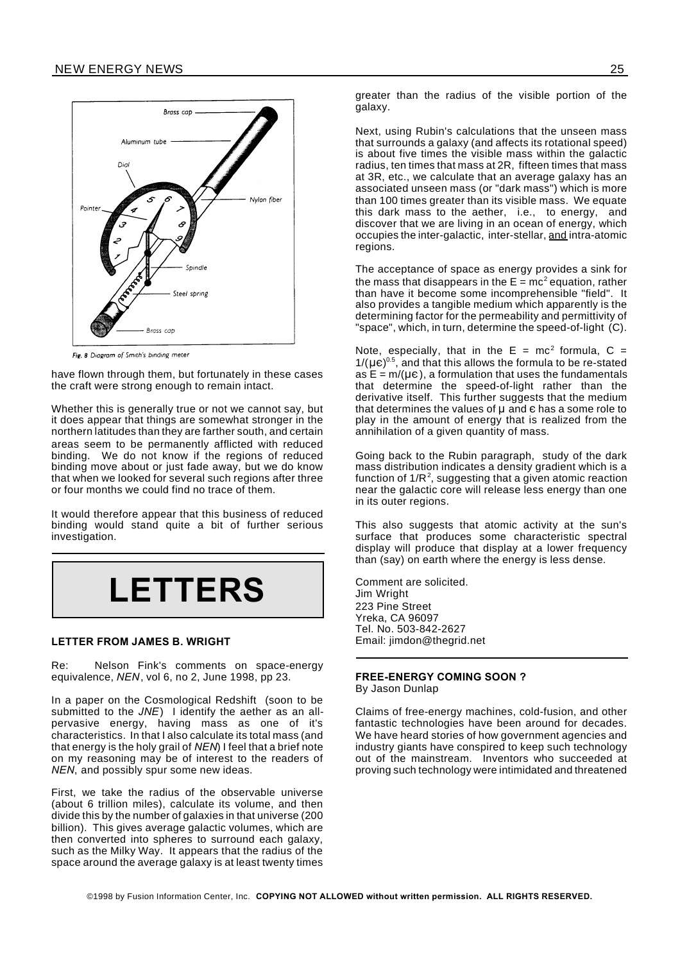

Fig. 8 Diagram of Smith's binding meter

have flown through them, but fortunately in these cases the craft were strong enough to remain intact.

Whether this is generally true or not we cannot say, but it does appear that things are somewhat stronger in the northern latitudes than they are farther south, and certain areas seem to be permanently afflicted with reduced binding. We do not know if the regions of reduced binding move about or just fade away, but we do know that when we looked for several such regions after three or four months we could find no trace of them.

It would therefore appear that this business of reduced binding would stand quite a bit of further serious investigation.



#### **LETTER FROM JAMES B. WRIGHT**

Re: Nelson Fink's comments on space-energy equivalence, *NEN*, vol 6, no 2, June 1998, pp 23.

In a paper on the Cosmological Redshift (soon to be submitted to the *JNE*) I identify the aether as an allpervasive energy, having mass as one of it's characteristics. In that I also calculate its total mass (and that energy is the holy grail of *NEN*) I feel that a brief note on my reasoning may be of interest to the readers of *NEN*, and possibly spur some new ideas.

First, we take the radius of the observable universe (about 6 trillion miles), calculate its volume, and then divide this by the number of galaxies in that universe (200 billion). This gives average galactic volumes, which are then converted into spheres to surround each galaxy, such as the Milky Way. It appears that the radius of the space around the average galaxy is at least twenty times greater than the radius of the visible portion of the galaxy.

Next, using Rubin's calculations that the unseen mass that surrounds a galaxy (and affects its rotational speed) is about five times the visible mass within the galactic radius, ten times that mass at 2R, fifteen times that mass at 3R, etc., we calculate that an average galaxy has an associated unseen mass (or "dark mass") which is more than 100 times greater than its visible mass. We equate this dark mass to the aether, i.e., to energy, and discover that we are living in an ocean of energy, which occupies the inter-galactic, inter-stellar, and intra-atomic regions.

The acceptance of space as energy provides a sink for the mass that disappears in the E = mc<sup>2</sup> equation, rather than have it become some incomprehensible "field". It also provides a tangible medium which apparently is the determining factor for the permeability and permittivity of "space", which, in turn, determine the speed-of-light (C).

Note, especially, that in the  $E = mc^2$  formula,  $C =$  $1/(\mu\varepsilon)^{0.5}$ , and that this allows the formula to be re-stated as  $E = m/(\mu \epsilon)$ , a formulation that uses the fundamentals that determine the speed-of-light rather than the derivative itself. This further suggests that the medium that determines the values of  $\mu$  and  $\epsilon$  has a some role to play in the amount of energy that is realized from the annihilation of a given quantity of mass.

Going back to the Rubin paragraph, study of the dark mass distribution indicates a density gradient which is a function of 1/R<sup>2</sup>, suggesting that a given atomic reaction near the galactic core will release less energy than one in its outer regions.

This also suggests that atomic activity at the sun's surface that produces some characteristic spectral display will produce that display at a lower frequency than (say) on earth where the energy is less dense.

Comment are solicited. Jim Wright 223 Pine Street Yreka, CA 96097 Tel. No. 503-842-2627 Email: jimdon@thegrid.net

#### **FREE-ENERGY COMING SOON ?** By Jason Dunlap

Claims of free-energy machines, cold-fusion, and other fantastic technologies have been around for decades. We have heard stories of how government agencies and industry giants have conspired to keep such technology out of the mainstream. Inventors who succeeded at proving such technology were intimidated and threatened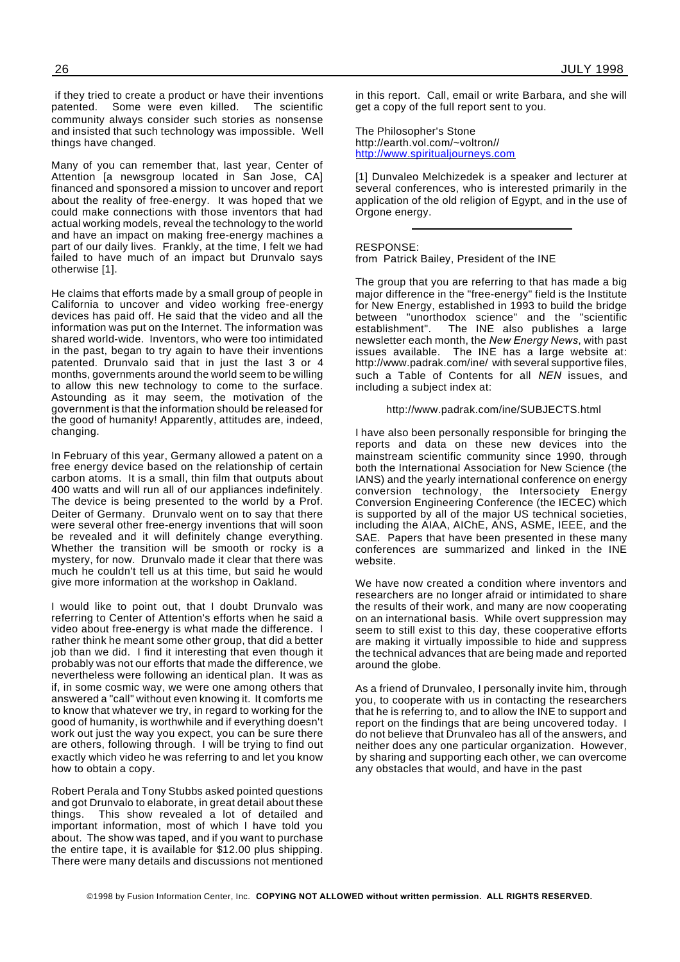if they tried to create a product or have their inventions<br>patented. Some were even killed. The scientific patented. Some were even killed. community always consider such stories as nonsense and insisted that such technology was impossible. Well things have changed.

Many of you can remember that, last year, Center of Attention [a newsgroup located in San Jose, CA] financed and sponsored a mission to uncover and report about the reality of free-energy. It was hoped that we could make connections with those inventors that had actual working models, reveal the technology to the world and have an impact on making free-energy machines a part of our daily lives. Frankly, at the time, I felt we had failed to have much of an impact but Drunvalo says otherwise [1].

He claims that efforts made by a small group of people in California to uncover and video working free-energy devices has paid off. He said that the video and all the information was put on the Internet. The information was shared world-wide. Inventors, who were too intimidated in the past, began to try again to have their inventions patented. Drunvalo said that in just the last 3 or 4 months, governments around the world seem to be willing to allow this new technology to come to the surface. Astounding as it may seem, the motivation of the government is that the information should be released for the good of humanity! Apparently, attitudes are, indeed, changing.

In February of this year, Germany allowed a patent on a free energy device based on the relationship of certain carbon atoms. It is a small, thin film that outputs about 400 watts and will run all of our appliances indefinitely. The device is being presented to the world by a Prof. Deiter of Germany. Drunvalo went on to say that there were several other free-energy inventions that will soon be revealed and it will definitely change everything. Whether the transition will be smooth or rocky is a mystery, for now. Drunvalo made it clear that there was much he couldn't tell us at this time, but said he would give more information at the workshop in Oakland.

I would like to point out, that I doubt Drunvalo was referring to Center of Attention's efforts when he said a video about free-energy is what made the difference. I rather think he meant some other group, that did a better job than we did. I find it interesting that even though it probably was not our efforts that made the difference, we nevertheless were following an identical plan. It was as if, in some cosmic way, we were one among others that answered a "call" without even knowing it. It comforts me to know that whatever we try, in regard to working for the good of humanity, is worthwhile and if everything doesn't work out just the way you expect, you can be sure there are others, following through. I will be trying to find out exactly which video he was referring to and let you know how to obtain a copy.

Robert Perala and Tony Stubbs asked pointed questions and got Drunvalo to elaborate, in great detail about these things. This show revealed a lot of detailed and important information, most of which I have told you about. The show was taped, and if you want to purchase the entire tape, it is available for \$12.00 plus shipping. There were many details and discussions not mentioned

in this report. Call, email or write Barbara, and she will get a copy of the full report sent to you.

The Philosopher's Stone http://earth.vol.com/~voltron// http://www.spiritualjourneys.com

[1] Dunvaleo Melchizedek is a speaker and lecturer at several conferences, who is interested primarily in the application of the old religion of Egypt, and in the use of Orgone energy.

RESPONSE: from Patrick Bailey, President of the INE

The group that you are referring to that has made a big major difference in the "free-energy" field is the Institute for New Energy, established in 1993 to build the bridge between "unorthodox science" and the "scientific<br>establishment". The INE also publishes a large The INE also publishes a large newsletter each month, the *New Energy News*, with past issues available. The INE has a large website at: http://www.padrak.com/ine/ with several supportive files, such a Table of Contents for all *NEN* issues, and including a subject index at:

http://www.padrak.com/ine/SUBJECTS.html

I have also been personally responsible for bringing the reports and data on these new devices into the mainstream scientific community since 1990, through both the International Association for New Science (the IANS) and the yearly international conference on energy conversion technology, the Intersociety Energy Conversion Engineering Conference (the IECEC) which is supported by all of the major US technical societies, including the AIAA, AIChE, ANS, ASME, IEEE, and the SAE. Papers that have been presented in these many conferences are summarized and linked in the INE website.

We have now created a condition where inventors and researchers are no longer afraid or intimidated to share the results of their work, and many are now cooperating on an international basis. While overt suppression may seem to still exist to this day, these cooperative efforts are making it virtually impossible to hide and suppress the technical advances that are being made and reported around the globe.

As a friend of Drunvaleo, I personally invite him, through you, to cooperate with us in contacting the researchers that he is referring to, and to allow the INE to support and report on the findings that are being uncovered today. I do not believe that Drunvaleo has all of the answers, and neither does any one particular organization. However, by sharing and supporting each other, we can overcome any obstacles that would, and have in the past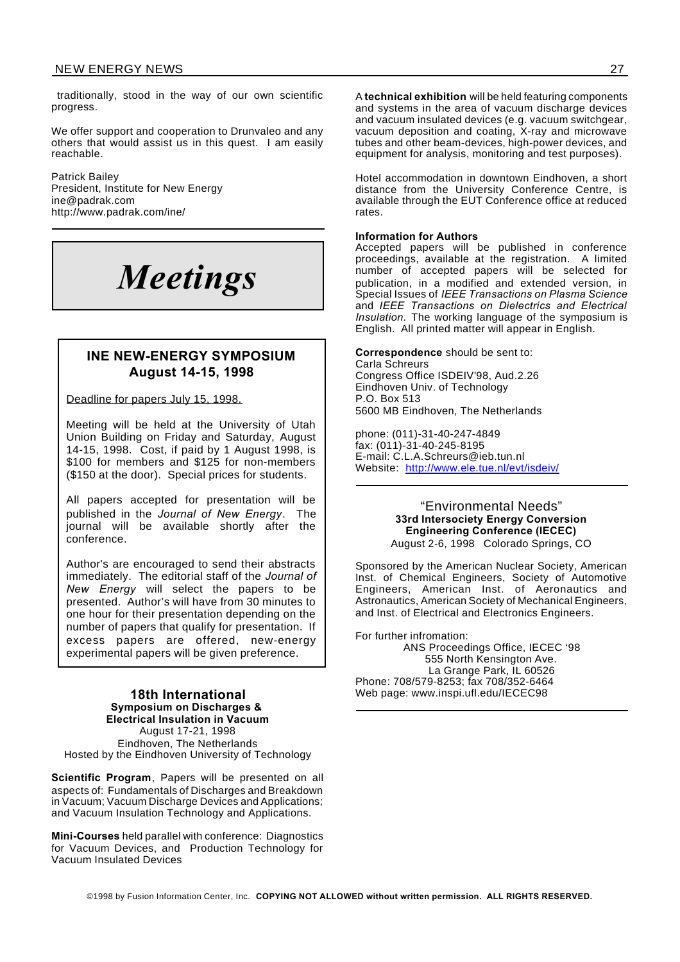traditionally, stood in the way of our own scientific progress.

We offer support and cooperation to Drunvaleo and any others that would assist us in this quest. I am easily reachable.

Patrick Bailey President, Institute for New Energy ine@padrak.com http://www.padrak.com/ine/



#### **INE NEW-ENERGY SYMPOSIUM August 14-15, 1998**

#### Deadline for papers July 15, 1998.

Meeting will be held at the University of Utah Union Building on Friday and Saturday, August 14-15, 1998. Cost, if paid by 1 August 1998, is \$100 for members and \$125 for non-members (\$150 at the door). Special prices for students.

All papers accepted for presentation will be published in the *Journal of New Energy*. The journal will be available shortly after the conference.

Author's are encouraged to send their abstracts immediately. The editorial staff of the *Journal of New Energy* will select the papers to be presented. Author's will have from 30 minutes to one hour for their presentation depending on the number of papers that qualify for presentation. If excess papers are offered, new-energy experimental papers will be given preference.

#### **18th International Symposium on Discharges & Electrical Insulation in Vacuum** August 17-21, 1998 Eindhoven, The Netherlands Hosted by the Eindhoven University of Technology

**Scientific Program**, Papers will be presented on all aspects of: Fundamentals of Discharges and Breakdown in Vacuum; Vacuum Discharge Devices and Applications; and Vacuum Insulation Technology and Applications.

**Mini-Courses** held parallel with conference: Diagnostics for Vacuum Devices, and Production Technology for Vacuum Insulated Devices

A **technical exhibition** will be held featuring components and systems in the area of vacuum discharge devices and vacuum insulated devices (e.g. vacuum switchgear, vacuum deposition and coating, X-ray and microwave tubes and other beam-devices, high-power devices, and equipment for analysis, monitoring and test purposes).

Hotel accommodation in downtown Eindhoven, a short distance from the University Conference Centre, is available through the EUT Conference office at reduced rates.

#### **Information for Authors**

Accepted papers will be published in conference proceedings, available at the registration. A limited number of accepted papers will be selected for publication, in a modified and extended version, in Special Issues of *IEEE Transactions on Plasma Science* and *IEEE Transactions on Dielectrics and Electrical Insulation.* The working language of the symposium is English. All printed matter will appear in English.

**Correspondence** should be sent to: Carla Schreurs Congress Office ISDEIV'98, Aud.2.26 Eindhoven Univ. of Technology P.O. Box 513 5600 MB Eindhoven, The Netherlands

phone: (011)-31-40-247-4849 fax: (011)-31-40-245-8195 E-mail: C.L.A.Schreurs@ieb.tun.nl Website: http://www.ele.tue.nl/evt/isdeiv/

#### "Environmental Needs" **33rd Intersociety Energy Conversion Engineering Conference (IECEC)** August 2-6, 1998 Colorado Springs, CO

Sponsored by the American Nuclear Society, American Inst. of Chemical Engineers, Society of Automotive Engineers, American Inst. of Aeronautics and Astronautics, American Society of Mechanical Engineers, and Inst. of Electrical and Electronics Engineers.

For further infromation: ANS Proceedings Office, IECEC '98 555 North Kensington Ave. La Grange Park, IL 60526 Phone: 708/579-8253; fax 708/352-6464 Web page: www.inspi.ufl.edu/IECEC98

©1998 by Fusion Information Center, Inc. **COPYING NOT ALLOWED without written permission. ALL RIGHTS RESERVED.**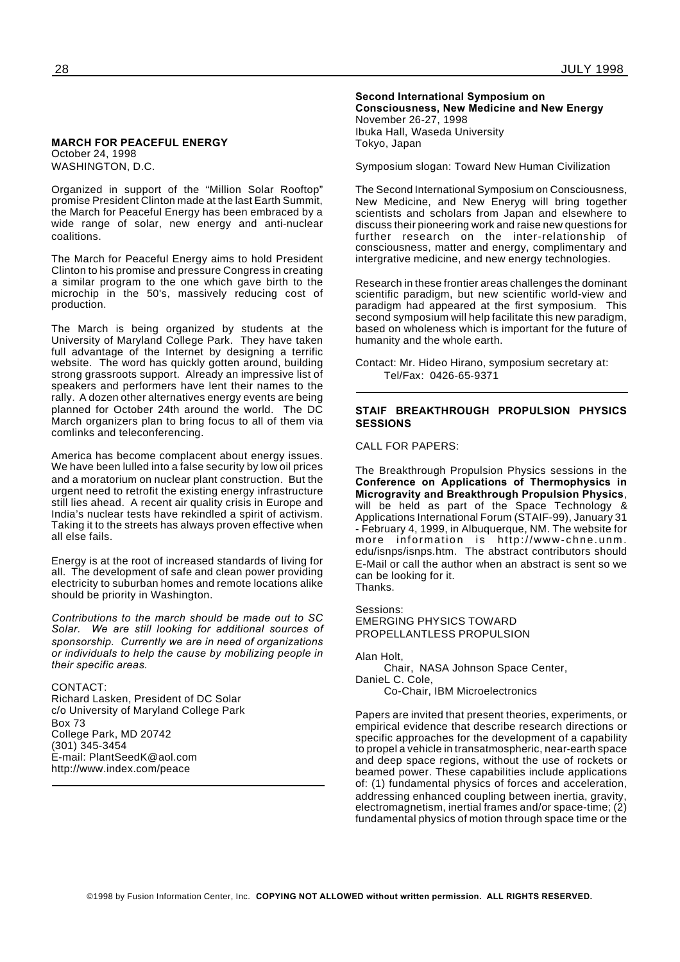#### **MARCH FOR PEACEFUL ENERGY** October 24, 1998 WASHINGTON, D.C.

Organized in support of the "Million Solar Rooftop" promise President Clinton made at the last Earth Summit, the March for Peaceful Energy has been embraced by a wide range of solar, new energy and anti-nuclear coalitions.

The March for Peaceful Energy aims to hold President Clinton to his promise and pressure Congress in creating a similar program to the one which gave birth to the microchip in the 50's, massively reducing cost of production.

The March is being organized by students at the University of Maryland College Park. They have taken full advantage of the Internet by designing a terrific website. The word has quickly gotten around, building strong grassroots support. Already an impressive list of speakers and performers have lent their names to the rally. A dozen other alternatives energy events are being planned for October 24th around the world. The DC March organizers plan to bring focus to all of them via comlinks and teleconferencing.

America has become complacent about energy issues. We have been lulled into a false security by low oil prices and a moratorium on nuclear plant construction. But the urgent need to retrofit the existing energy infrastructure still lies ahead. A recent air quality crisis in Europe and India's nuclear tests have rekindled a spirit of activism. Taking it to the streets has always proven effective when all else fails.

Energy is at the root of increased standards of living for all. The development of safe and clean power providing electricity to suburban homes and remote locations alike should be priority in Washington.

*Contributions to the march should be made out to SC Solar. We are still looking for additional sources of sponsorship. Currently we are in need of organizations or individuals to help the cause by mobilizing people in their specific areas.*

#### CONTACT:

Richard Lasken, President of DC Solar c/o University of Maryland College Park Box 73 College Park, MD 20742 (301) 345-3454 E-mail: PlantSeedK@aol.com http://www.index.com/peace

#### **Second International Symposium on**

**Consciousness, New Medicine and New Energy** November 26-27, 1998 Ibuka Hall, Waseda University Tokyo, Japan

Symposium slogan: Toward New Human Civilization

The Second International Symposium on Consciousness, New Medicine, and New Eneryg will bring together scientists and scholars from Japan and elsewhere to discuss their pioneering work and raise new questions for further research on the inter-relationship of consciousness, matter and energy, complimentary and intergrative medicine, and new energy technologies.

Research in these frontier areas challenges the dominant scientific paradigm, but new scientific world-view and paradigm had appeared at the first symposium. This second symposium will help facilitate this new paradigm, based on wholeness which is important for the future of humanity and the whole earth.

Contact: Mr. Hideo Hirano, symposium secretary at: Tel/Fax: 0426-65-9371

#### **STAIF BREAKTHROUGH PROPULSION PHYSICS SESSIONS**

CALL FOR PAPERS:

The Breakthrough Propulsion Physics sessions in the **Conference on Applications of Thermophysics in Microgravity and Breakthrough Propulsion Physics**, will be held as part of the Space Technology & Applications International Forum (STAIF-99), January 31 - February 4, 1999, in Albuquerque, NM. The website for more information is http://www-chne.unm. edu/isnps/isnps.htm. The abstract contributors should E-Mail or call the author when an abstract is sent so we can be looking for it. Thanks.

Sessions: EMERGING PHYSICS TOWARD PROPELLANTLESS PROPULSION

Alan Holt,

Chair, NASA Johnson Space Center, DanieL C. Cole, Co-Chair, IBM Microelectronics

Papers are invited that present theories, experiments, or empirical evidence that describe research directions or specific approaches for the development of a capability to propel a vehicle in transatmospheric, near-earth space and deep space regions, without the use of rockets or beamed power. These capabilities include applications of: (1) fundamental physics of forces and acceleration, addressing enhanced coupling between inertia, gravity, electromagnetism, inertial frames and/or space-time; (2) fundamental physics of motion through space time or the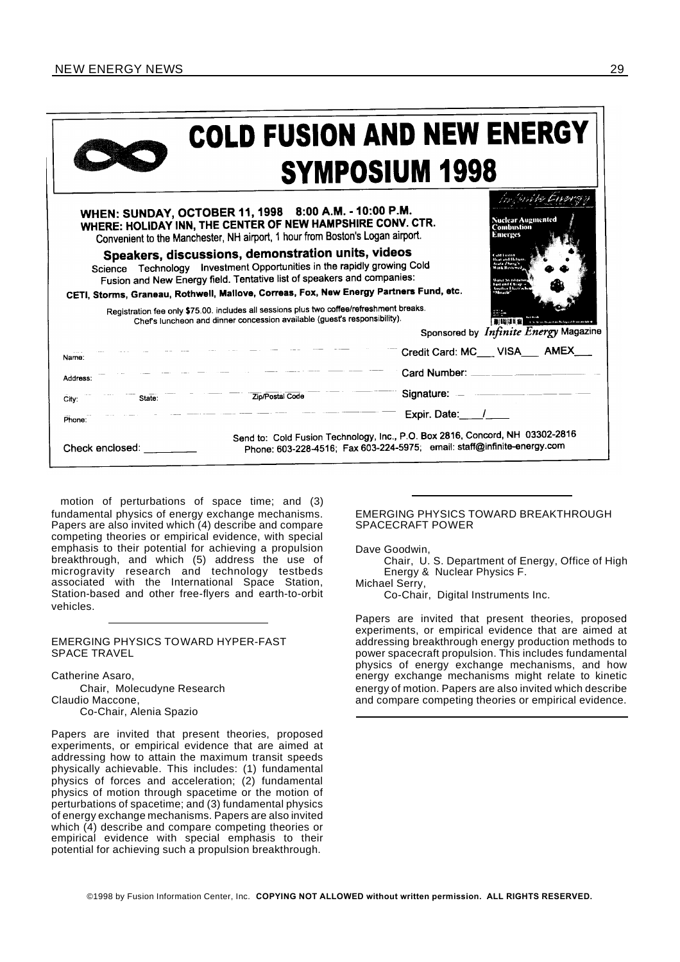#### NEW ENERGY NEWS 29

## **COLD FUSION AND NEW ENERGY SYMPOSIUM 1998**

|                                                                                                                                                                                                                                                           | WHEN: SUNDAY, OCTOBER 11, 1998 8:00 A.M. - 10:00 P.M.<br>WHERE: HOLIDAY INN, THE CENTER OF NEW HAMPSHIRE CONV. CTR.<br>Convenient to the Manchester, NH airport, 1 hour from Boston's Logan airport.                                                                                              | Nuclear Augmented<br><b>Combustion</b><br><b>Emerges</b>                                                                                                                                                                                                                                                         |  |  |
|-----------------------------------------------------------------------------------------------------------------------------------------------------------------------------------------------------------------------------------------------------------|---------------------------------------------------------------------------------------------------------------------------------------------------------------------------------------------------------------------------------------------------------------------------------------------------|------------------------------------------------------------------------------------------------------------------------------------------------------------------------------------------------------------------------------------------------------------------------------------------------------------------|--|--|
|                                                                                                                                                                                                                                                           | Speakers, discussions, demonstration units, videos<br>Science Technology Investment Opportunities in the rapidly growing Cold<br>Fusion and New Energy field. Tentative list of speakers and companies:<br>CETI, Storms, Graneau, Rothwell, Mallove, Correas, Fox, New Energy Partners Fund, etc. | <b>Anteri Blu A</b><br>ficat and Helium<br>Arata Zhang's<br>Work Restered<br>والمغتلبة بالحاجب مما<br>Fast and Cheath<br><b>Austine Lineten</b><br>Mitacle                                                                                                                                                       |  |  |
| Registration fee only \$75.00. includes all sessions plus two coffee/refreshment breaks.<br>Chef's luncheon and dinner concession available (guest's responsibility).<br>All North Magazines Religious Francisco<br>Sponsored by Infinite Energy Magazine |                                                                                                                                                                                                                                                                                                   |                                                                                                                                                                                                                                                                                                                  |  |  |
| Name:                                                                                                                                                                                                                                                     |                                                                                                                                                                                                                                                                                                   | Credit Card: MC VISA AMEX                                                                                                                                                                                                                                                                                        |  |  |
| Address:                                                                                                                                                                                                                                                  |                                                                                                                                                                                                                                                                                                   | Card Number: ____ ___ ___ ___                                                                                                                                                                                                                                                                                    |  |  |
| State:<br>City:                                                                                                                                                                                                                                           | Zip/Postal Code                                                                                                                                                                                                                                                                                   | Signature: $\frac{1}{2}$ $\frac{1}{2}$ $\frac{1}{2}$ $\frac{1}{2}$ $\frac{1}{2}$ $\frac{1}{2}$ $\frac{1}{2}$ $\frac{1}{2}$ $\frac{1}{2}$ $\frac{1}{2}$ $\frac{1}{2}$ $\frac{1}{2}$ $\frac{1}{2}$ $\frac{1}{2}$ $\frac{1}{2}$ $\frac{1}{2}$ $\frac{1}{2}$ $\frac{1}{2}$ $\frac{1}{2}$ $\frac{1}{2}$ $\frac{1}{2}$ |  |  |
| Phone:                                                                                                                                                                                                                                                    |                                                                                                                                                                                                                                                                                                   | Expir. Date: /                                                                                                                                                                                                                                                                                                   |  |  |
| Check enclosed:                                                                                                                                                                                                                                           |                                                                                                                                                                                                                                                                                                   | Send to: Cold Fusion Technology, Inc., P.O. Box 2816, Concord, NH 03302-2816<br>Phone: 603-228-4516; Fax 603-224-5975; email: staff@infinite-energy.com                                                                                                                                                          |  |  |

motion of perturbations of space time; and (3) fundamental physics of energy exchange mechanisms. Papers are also invited which (4) describe and compare competing theories or empirical evidence, with special emphasis to their potential for achieving a propulsion breakthrough, and which (5) address the use of microgravity research and technology testbeds associated with the International Space Station, Station-based and other free-flyers and earth-to-orbit vehicles.

#### EMERGING PHYSICS TOWARD HYPER-FAST SPACE TRAVEL

Catherine Asaro, Chair, Molecudyne Research Claudio Maccone, Co-Chair, Alenia Spazio

Papers are invited that present theories, proposed experiments, or empirical evidence that are aimed at addressing how to attain the maximum transit speeds physically achievable. This includes: (1) fundamental physics of forces and acceleration; (2) fundamental physics of motion through spacetime or the motion of perturbations of spacetime; and (3) fundamental physics of energy exchange mechanisms. Papers are also invited which  $(4)$  describe and compare competing theories or empirical evidence with special emphasis to their potential for achieving such a propulsion breakthrough.

#### EMERGING PHYSICS TOWARD BREAKTHROUGH SPACECRAFT POWER

Dave Goodwin,

Chair, U. S. Department of Energy, Office of High Energy & Nuclear Physics F.

Michael Serry,

Co-Chair, Digital Instruments Inc.

Papers are invited that present theories, proposed experiments, or empirical evidence that are aimed at addressing breakthrough energy production methods to power spacecraft propulsion. This includes fundamental physics of energy exchange mechanisms, and how energy exchange mechanisms might relate to kinetic energy of motion. Papers are also invited which describe and compare competing theories or empirical evidence.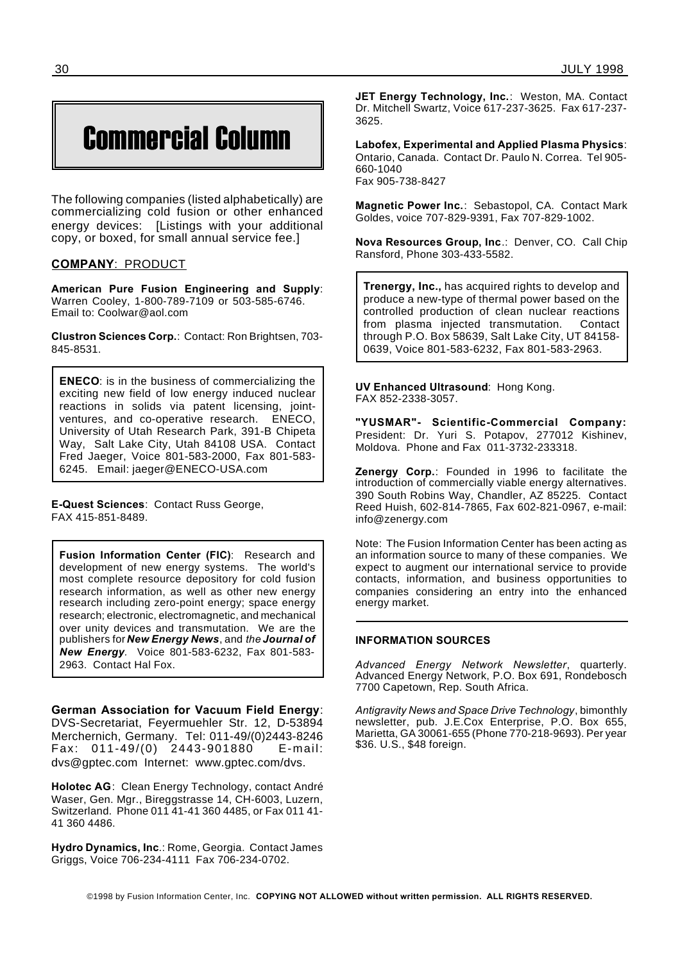## Commercial Column

The following companies (listed alphabetically) are commercializing cold fusion or other enhanced energy devices: [Listings with your additional copy, or boxed, for small annual service fee.]

#### **COMPANY**: PRODUCT

**American Pure Fusion Engineering and Supply**: Warren Cooley, 1-800-789-7109 or 503-585-6746. Email to: Coolwar@aol.com

**Clustron Sciences Corp.**: Contact: Ron Brightsen, 703- 845-8531.

**ENECO**: is in the business of commercializing the exciting new field of low energy induced nuclear reactions in solids via patent licensing, jointventures, and co-operative research. ENECO, University of Utah Research Park, 391-B Chipeta Way, Salt Lake City, Utah 84108 USA. Contact Fred Jaeger, Voice 801-583-2000, Fax 801-583- 6245. Email: jaeger@ENECO-USA.com

**E-Quest Sciences**: Contact Russ George, FAX 415-851-8489.

**Fusion Information Center (FIC)**: Research and development of new energy systems. The world's most complete resource depository for cold fusion research information, as well as other new energy research including zero-point energy; space energy research; electronic, electromagnetic, and mechanical over unity devices and transmutation. We are the publishers for *New Energy News*, and *the Journal of New Energy.* Voice 801-583-6232, Fax 801-583- 2963. Contact Hal Fox.

**German Association for Vacuum Field Energy**: DVS-Secretariat, Feyermuehler Str. 12, D-53894 Merchernich, Germany. Tel: 011-49/(0)2443-8246 Fax: 011-49/(0) 2443-901880 E-mail: dvs@gptec.com Internet: www.gptec.com/dvs.

**Holotec AG**: Clean Energy Technology, contact André Waser, Gen. Mgr., Bireggstrasse 14, CH-6003, Luzern, Switzerland. Phone 011 41-41 360 4485, or Fax 011 41- 41 360 4486.

**Hydro Dynamics, Inc**.: Rome, Georgia. Contact James Griggs, Voice 706-234-4111 Fax 706-234-0702.

**JET Energy Technology, Inc.**: Weston, MA. Contact Dr. Mitchell Swartz, Voice 617-237-3625. Fax 617-237- 3625.

**Labofex, Experimental and Applied Plasma Physics**: Ontario, Canada. Contact Dr. Paulo N. Correa. Tel 905- 660-1040 Fax 905-738-8427

**Magnetic Power Inc.**: Sebastopol, CA. Contact Mark Goldes, voice 707-829-9391, Fax 707-829-1002.

**Nova Resources Group, Inc**.: Denver, CO. Call Chip Ransford, Phone 303-433-5582.

**Trenergy, Inc.,** has acquired rights to develop and produce a new-type of thermal power based on the controlled production of clean nuclear reactions from plasma injected transmutation. Contact through P.O. Box 58639, Salt Lake City, UT 84158- 0639, Voice 801-583-6232, Fax 801-583-2963.

**UV Enhanced Ultrasound**: Hong Kong. FAX 852-2338-3057.

**"YUSMAR"- Scientific-Commercial Company:** President: Dr. Yuri S. Potapov, 277012 Kishinev, Moldova. Phone and Fax 011-3732-233318.

**Zenergy Corp.**: Founded in 1996 to facilitate the introduction of commercially viable energy alternatives. 390 South Robins Way, Chandler, AZ 85225. Contact Reed Huish, 602-814-7865, Fax 602-821-0967, e-mail: info@zenergy.com

Note: The Fusion Information Center has been acting as an information source to many of these companies. We expect to augment our international service to provide contacts, information, and business opportunities to companies considering an entry into the enhanced energy market.

#### **INFORMATION SOURCES**

*Advanced Energy Network Newsletter*, quarterly. Advanced Energy Network, P.O. Box 691, Rondebosch 7700 Capetown, Rep. South Africa.

*Antigravity News and Space Drive Technology*, bimonthly newsletter, pub. J.E.Cox Enterprise, P.O. Box 655, Marietta, GA 30061-655 (Phone 770-218-9693). Per year \$36. U.S., \$48 foreign.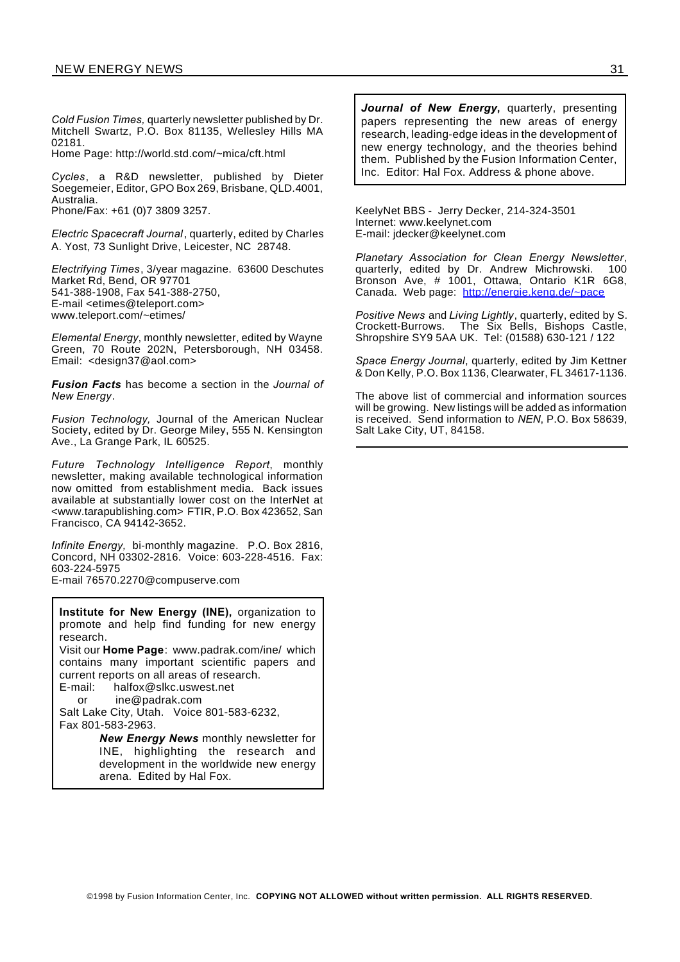*Cold Fusion Times,* quarterly newsletter published by Dr. Mitchell Swartz, P.O. Box 81135, Wellesley Hills MA 02181.

Home Page: http://world.std.com/~mica/cft.html

*Cycles*, a R&D newsletter, published by Dieter Soegemeier, Editor, GPO Box 269, Brisbane, QLD.4001, Australia. Phone/Fax: +61 (0)7 3809 3257.

*Electric Spacecraft Journal*, quarterly, edited by Charles A. Yost, 73 Sunlight Drive, Leicester, NC 28748.

*Electrifying Times*, 3/year magazine. 63600 Deschutes Market Rd, Bend, OR 97701 541-388-1908, Fax 541-388-2750, E-mail <etimes@teleport.com> www.teleport.com/~etimes/

*Elemental Energy*, monthly newsletter, edited by Wayne Green, 70 Route 202N, Petersborough, NH 03458. Email: <design37@aol.com>

*Fusion Facts* has become a section in the *Journal of New Energy*.

*Fusion Technology,* Journal of the American Nuclear Society, edited by Dr. George Miley, 555 N. Kensington Ave., La Grange Park, IL 60525.

*Future Technology Intelligence Report*, monthly newsletter, making available technological information now omitted from establishment media. Back issues available at substantially lower cost on the InterNet at <www.tarapublishing.com> FTIR, P.O. Box 423652, San Francisco, CA 94142-3652.

*Infinite Energy,* bi-monthly magazine. P.O. Box 2816, Concord, NH 03302-2816. Voice: 603-228-4516. Fax: 603-224-5975

E-mail 76570.2270@compuserve.com

**Institute for New Energy (INE),** organization to promote and help find funding for new energy research.

Visit our **Home Page**: www.padrak.com/ine/ which contains many important scientific papers and current reports on all areas of research.

E-mail: halfox@slkc.uswest.net or ine@padrak.com

Salt Lake City, Utah. Voice 801-583-6232, Fax 801-583-2963.

> *New Energy News* monthly newsletter for INE, highlighting the research and development in the worldwide new energy arena. Edited by Hal Fox.

*Journal of New Energy***,** quarterly, presenting papers representing the new areas of energy research, leading-edge ideas in the development of new energy technology, and the theories behind them. Published by the Fusion Information Center, Inc. Editor: Hal Fox. Address & phone above.

KeelyNet BBS - Jerry Decker, 214-324-3501 Internet: www.keelynet.com E-mail: jdecker@keelynet.com

*Planetary Association for Clean Energy Newsletter*, quarterly, edited by Dr. Andrew Michrowski. 100 Bronson Ave, # 1001, Ottawa, Ontario K1R 6G8, Canada. Web page: http://energie.keng.de/~pace

*Positive News* and *Living Lightly*, quarterly, edited by S. Crockett-Burrows. The Six Bells, Bishops Castle, Shropshire SY9 5AA UK. Tel: (01588) 630-121 / 122

*Space Energy Journal*, quarterly, edited by Jim Kettner & Don Kelly, P.O. Box 1136, Clearwater, FL 34617-1136.

The above list of commercial and information sources will be growing. New listings will be added as information is received. Send information to *NEN*, P.O. Box 58639, Salt Lake City, UT, 84158.